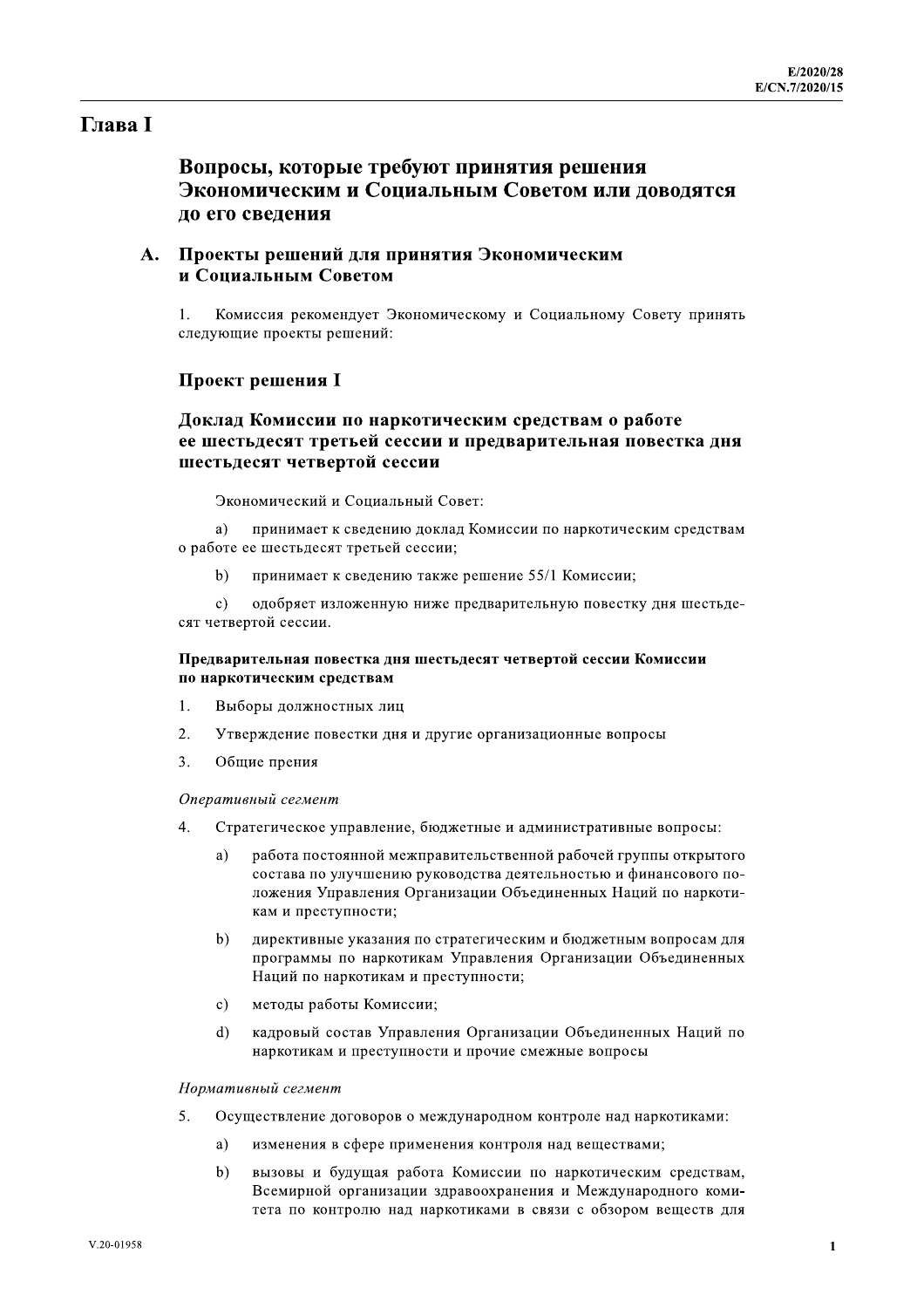# **Глава** I

# Вопросы, которые требуют принятия решения Экономическим и Социальным Советом или доводятся ло его свеления

# А. Проекты решений для принятия Экономическим и Социальным Советом

Комиссия рекомендует Экономическому и Социальному Совету принять следующие проекты решений:

#### **Проект решения I**

# Доклад Комиссии по наркотическим средствам о работе ее шестьдесят третьей сессии и предварительная повестка дня шестьдесят четвертой сессии

Экономический и Социальный Совет:

a) принимает к сведению доклад Комиссии по наркотическим средствам о работе ее шестьдесят третьей сессии;

 $<sub>b</sub>$ </sub> принимает к сведению также решение 55/1 Комиссии;

одобряет изложенную ниже предварительную повестку дня шестьде- $\mathbf{c}$ ) сят четвертой сессии.

#### Предварительная повестка дня шестьдесят четвертой сессии Комиссии по наркотическим средствам

- 1. Выборы должностных лиц
- $\overline{2}$ . Утверждение повестки дня и другие организационные вопросы
- $\overline{3}$ . Общие прения

#### Оперативный сегмент

- $\overline{4}$ . Стратегическое управление, бюджетные и административные вопросы:
	- $a)$ работа постоянной межправительственной рабочей группы открытого состава по улучшению руководства деятельностью и финансового положения Управления Организации Объединенных Наций по наркотикам и преступности:
	- $b)$ директивные указания по стратегическим и бюджетным вопросам для программы по наркотикам Управления Организации Объединенных Наций по наркотикам и преступности;
	- методы работы Комиссии;  $c)$
	- $d)$ кадровый состав Управления Организации Объединенных Наций по наркотикам и преступности и прочие смежные вопросы

#### Нормативный сегмент

- $\overline{5}$ . Осуществление договоров о международном контроле над наркотиками:
	- a) изменения в сфере применения контроля над веществами;
	- $b)$ вызовы и будущая работа Комиссии по наркотическим средствам, Всемирной организации здравоохранения и Международного комитета по контролю над наркотиками в связи с обзором веществ для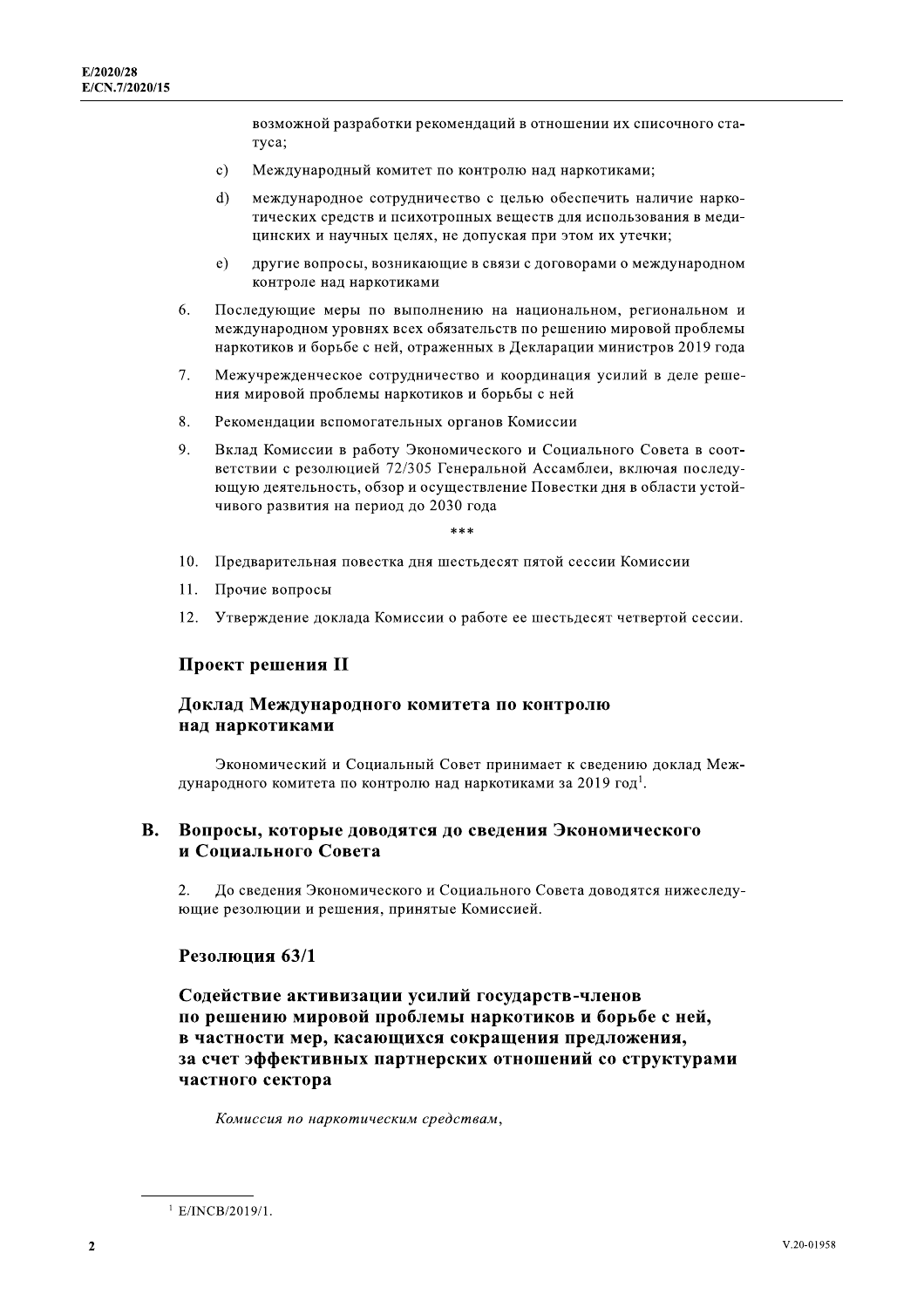возможной разработки рекомендаций в отношении их списочного статуса;

- Международный комитет по контролю над наркотиками;  $c)$
- $\mathbf{d}$ международное сотрудничество с целью обеспечить наличие наркотических средств и психотропных веществ для использования в медицинских и научных целях, не допуская при этом их утечки;
- $e)$ другие вопросы, возникающие в связи с договорами о международном контроле над наркотиками
- Последующие меры по выполнению на национальном, региональном и 6. международном уровнях всех обязательств по решению мировой проблемы наркотиков и борьбе с ней, отраженных в Декларации министров 2019 года
- 7. Межучрежденческое сотрудничество и координация усилий в деле решения мировой проблемы наркотиков и борьбы с ней
- 8. Рекомендации вспомогательных органов Комиссии
- 9. Вклад Комиссии в работу Экономического и Социального Совета в соответствии с резолюцией 72/305 Генеральной Ассамблеи, включая последующую деятельность, обзор и осуществление Повестки дня в области устойчивого развития на период до 2030 года

يو پو پو

- 10. Предварительная повестка дня шестьдесят пятой сессии Комиссии
- $11.$ Прочие вопросы
- 12. Утверждение доклада Комиссии о работе ее шестьдесят четвертой сессии.

#### Проект решения II

#### Доклад Международного комитета по контролю над наркотиками

Экономический и Социальный Совет принимает к сведению доклад Международного комитета по контролю над наркотиками за 2019 год<sup>1</sup>.

#### **B.** Вопросы, которые доводятся до сведения Экономического и Социального Совета

 $\overline{2}$ . До сведения Экономического и Социального Совета доводятся нижеследующие резолюции и решения, принятые Комиссией.

#### Резолюция 63/1

Содействие активизации усилий государств-членов по решению мировой проблемы наркотиков и борьбе с ней, в частности мер, касающихся сокращения предложения, за счет эффективных партнерских отношений со структурами частного сектора

Комиссия по наркотическим средствам,

 $1$  E/INCB/2019/1.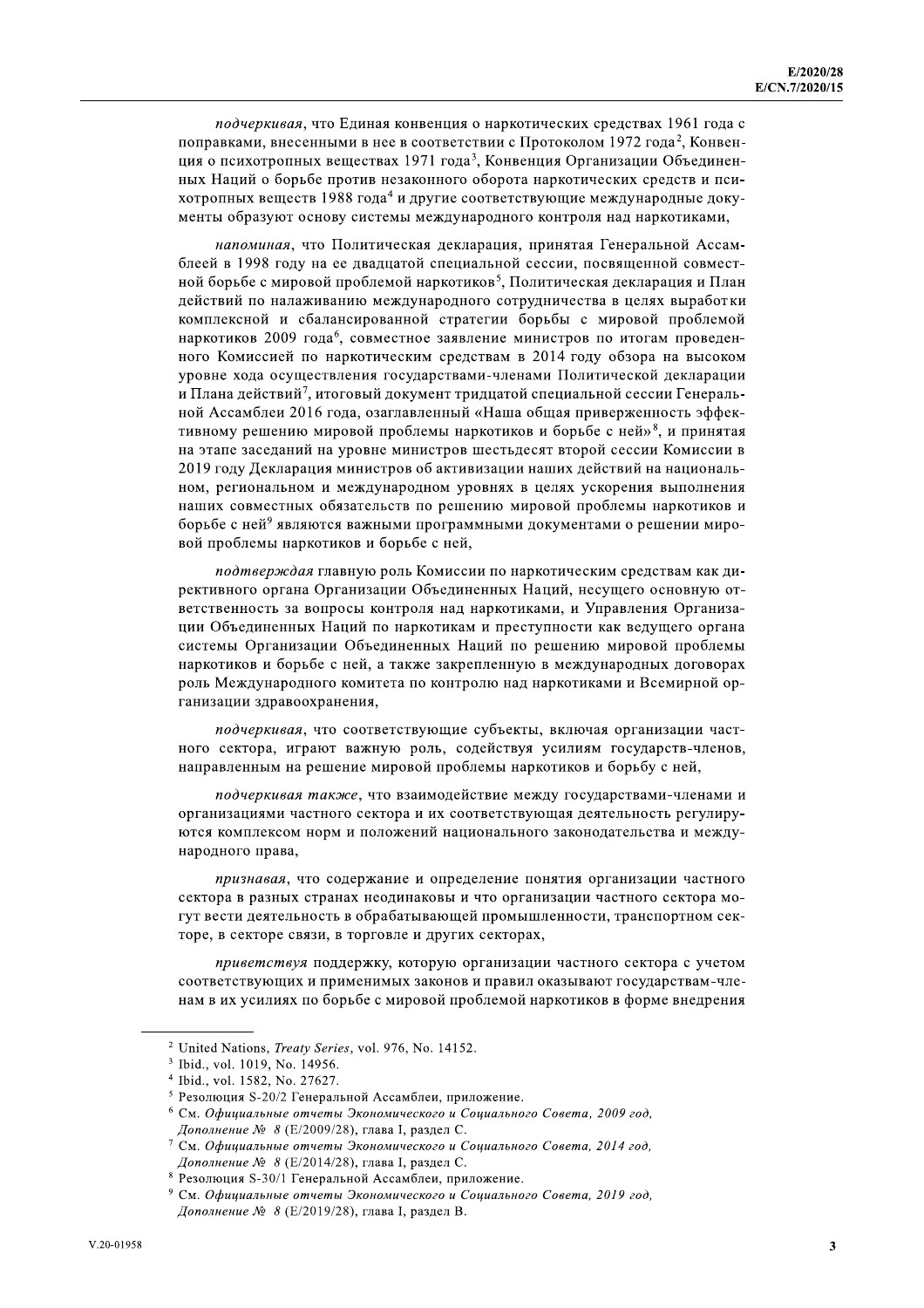подчеркивая, что Единая конвенция о наркотических средствах 1961 года с поправками, внесенными в нее в соответствии с Протоколом 1972 года<sup>2</sup>, Конвенция о психотропных веществах 1971 года<sup>3</sup>, Конвенция Организации Объединенных Наций о борьбе против незаконного оборота наркотических средств и психотропных веществ 1988 года<sup>4</sup> и другие соответствующие международные документы образуют основу системы международного контроля над наркотиками,

напоминая, что Политическая декларация, принятая Генеральной Ассамблеей в 1998 году на ее двадцатой специальной сессии, посвященной совместной борьбе с мировой проблемой наркотиков<sup>5</sup>. Политическая декларация и План действий по налаживанию международного сотрудничества в целях выработки комплексной и сбалансированной стратегии борьбы с мировой проблемой наркотиков 2009 года<sup>6</sup>, совместное заявление министров по итогам проведенного Комиссией по наркотическим средствам в 2014 году обзора на высоком уровне хода осуществления государствами-членами Политической декларации и Плана действий<sup>7</sup>, итоговый документ тридцатой специальной сессии Генеральной Ассамблеи 2016 года, озаглавленный «Наша общая приверженность эффективному решению мировой проблемы наркотиков и борьбе с ней»<sup>8</sup>, и принятая на этапе заседаний на уровне министров шестьдесят второй сессии Комиссии в 2019 году Декларация министров об активизации наших действий на национальном, региональном и международном уровнях в целях ускорения выполнения наших совместных обязательств по решению мировой проблемы наркотиков и борьбе с ней<sup>9</sup> являются важными программными документами о решении мировой проблемы наркотиков и борьбе с ней,

подтверждая главную роль Комиссии по наркотическим средствам как директивного органа Организации Объединенных Наций, несущего основную ответственность за вопросы контроля над наркотиками, и Управления Организации Объединенных Наций по наркотикам и преступности как ведущего органа системы Организации Объединенных Наций по решению мировой проблемы наркотиков и борьбе с ней, а также закрепленную в международных договорах роль Международного комитета по контролю над наркотиками и Всемирной организации здравоохранения,

подчеркивая, что соответствующие субъекты, включая организации частного сектора, играют важную роль, содействуя усилиям государств-членов, направленным на решение мировой проблемы наркотиков и борьбу с ней,

подчеркивая также, что взаимодействие между государствами-членами и организациями частного сектора и их соответствующая деятельность регулируются комплексом норм и положений национального законодательства и международного права.

признавая, что содержание и определение понятия организации частного сектора в разных странах неодинаковы и что организации частного сектора могут вести деятельность в обрабатывающей промышленности, транспортном секторе, в секторе связи, в торговле и других секторах,

приветствуя поддержку, которую организации частного сектора с учетом соответствующих и применимых законов и правил оказывают государствам-членам в их усилиях по борьбе с мировой проблемой наркотиков в форме внедрения

<sup>&</sup>lt;sup>2</sup> United Nations, *Treaty Series*, vol. 976, No. 14152.

<sup>&</sup>lt;sup>3</sup> Ibid., vol. 1019, No. 14956.

<sup>&</sup>lt;sup>4</sup> Ibid., vol. 1582, No. 27627.

<sup>&</sup>lt;sup>5</sup> Резолюция S-20/2 Генеральной Ассамблеи, приложение.

<sup>&</sup>lt;sup>6</sup> См. Официальные отчеты Экономического и Социального Совета, 2009 год, Дополнение № 8 (Е/2009/28), глава I, раздел С.

 $\frac{7}{7}$  См. Официальные отчеты Экономического и Социального Совета, 2014 год, Дополнение № 8 (Е/2014/28), глава I, раздел С.

<sup>&</sup>lt;sup>8</sup> Резолюция S-30/1 Генеральной Ассамблеи, приложение.

<sup>&</sup>lt;sup>9</sup> См. Официальные отчеты Экономического и Социального Совета, 2019 год, Дополнение № 8 (Е/2019/28), глава I, раздел В.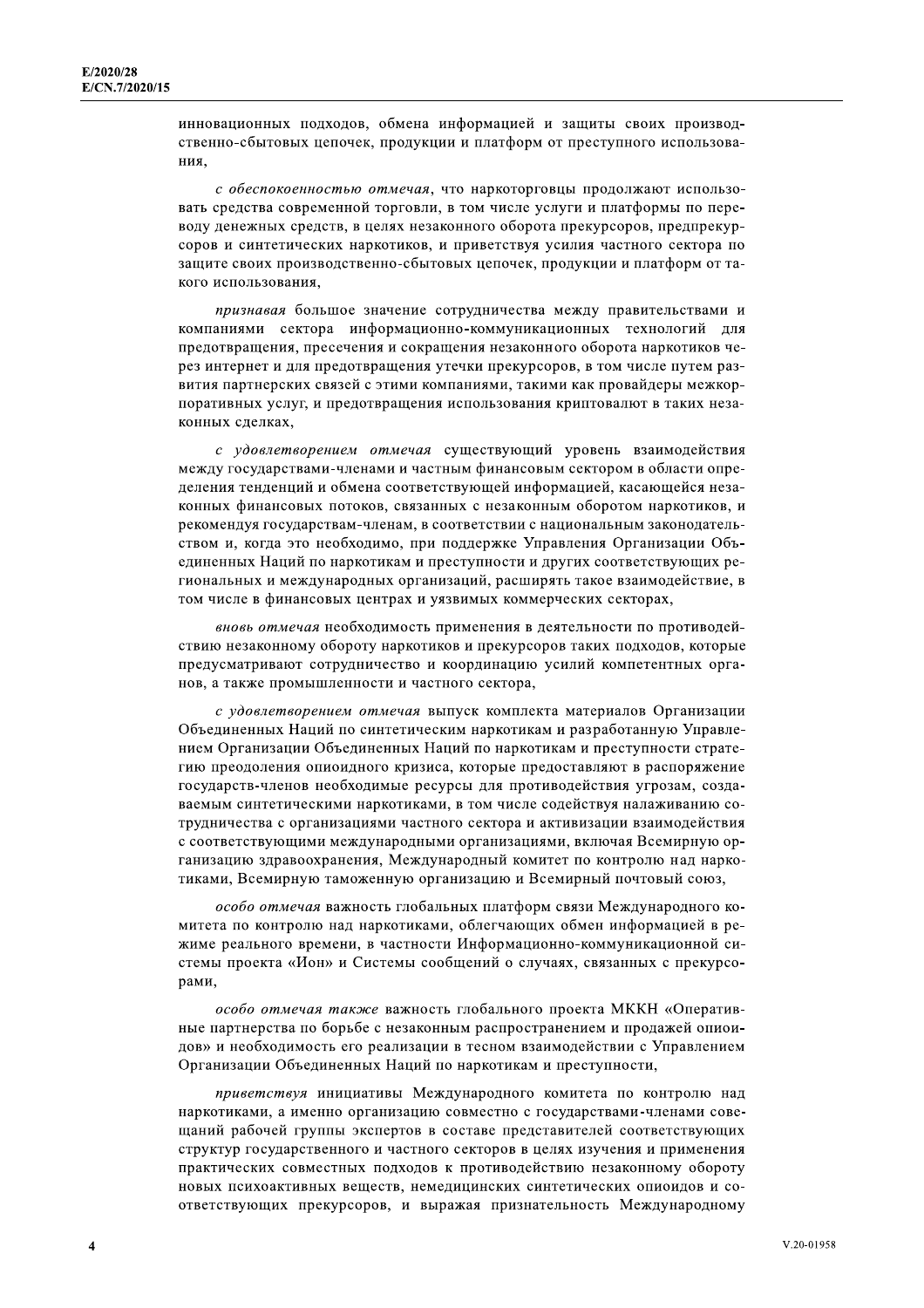инновационных подходов, обмена информацией и защиты своих производственно-сбытовых цепочек, продукции и платформ от преступного использования.

с обеспокоенностью отмечая, что наркоторговцы продолжают использовать средства современной торговли, в том числе услуги и платформы по переводу денежных средств, в целях незаконного оборота прекурсоров, предпрекурсоров и синтетических наркотиков, и приветствуя усилия частного сектора по защите своих производственно-сбытовых цепочек, продукции и платформ от такого использования,

признавая большое значение сотрудничества между правительствами и компаниями сектора информационно-коммуникационных технологий для предотвращения, пресечения и сокращения незаконного оборота наркотиков через интернет и для предотвращения утечки прекурсоров, в том числе путем развития партнерских связей с этими компаниями, такими как провайдеры межкорпоративных услуг, и предотвращения использования криптовалют в таких незаконных сделках,

с удовлетворением отмечая существующий уровень взаимодействия между государствами-членами и частным финансовым сектором в области определения тенденций и обмена соответствующей информацией, касающейся незаконных финансовых потоков, связанных с незаконным оборотом наркотиков, и рекомендуя государствам-членам, в соответствии с национальным законодательством и, когда это необходимо, при поддержке Управления Организации Объединенных Наций по наркотикам и преступности и других соответствующих региональных и международных организаций, расширять такое взаимодействие, в том числе в финансовых центрах и уязвимых коммерческих секторах,

вновь отмечая необходимость применения в деятельности по противодействию незаконному обороту наркотиков и прекурсоров таких подходов, которые предусматривают сотрудничество и координацию усилий компетентных органов, а также промышленности и частного сектора,

с удовлетворением отмечая выпуск комплекта материалов Организации Объединенных Наций по синтетическим наркотикам и разработанную Управлением Организации Объединенных Наций по наркотикам и преступности стратегию преодоления опиоидного кризиса, которые предоставляют в распоряжение государств-членов необходимые ресурсы для противодействия угрозам, создаваемым синтетическими наркотиками, в том числе содействуя налаживанию сотрудничества с организациями частного сектора и активизации взаимодействия с соответствующими международными организациями, включая Всемирную организацию здравоохранения. Международный комитет по контролю над наркотиками, Всемирную таможенную организацию и Всемирный почтовый союз,

особо отмечая важность глобальных платформ связи Международного комитета по контролю над наркотиками, облегчающих обмен информацией в режиме реального времени, в частности Информационно-коммуникационной системы проекта «Ион» и Системы сообщений о случаях, связанных с прекурсорами,

особо отмечая также важность глобального проекта МККН «Оперативные партнерства по борьбе с незаконным распространением и продажей опиоидов» и необходимость его реализации в тесном взаимодействии с Управлением Организации Объединенных Наций по наркотикам и преступности,

приветствуя инициативы Международного комитета по контролю над наркотиками, а именно организацию совместно с государствами-членами совещаний рабочей группы экспертов в составе представителей соответствующих структур государственного и частного секторов в целях изучения и применения практических совместных подходов к противодействию незаконному обороту новых психоактивных вешеств, немелицинских синтетических опиоидов и соответствующих прекурсоров, и выражая признательность Международному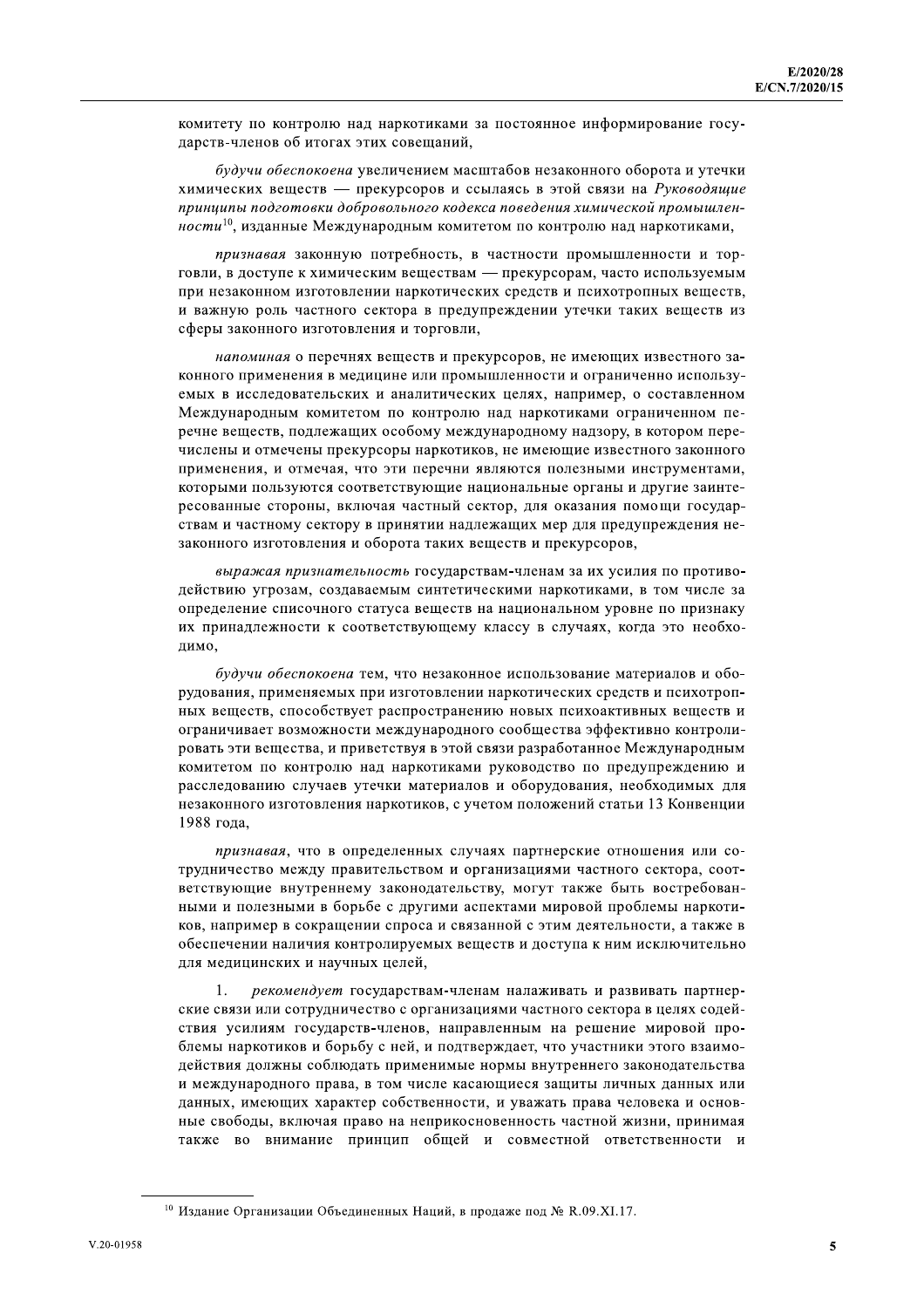комитету по контролю над наркотиками за постоянное информирование государств-членов об итогах этих совещаний,

будучи обеспокоена увеличением масштабов незаконного оборота и утечки химических веществ - прекурсоров и ссылаясь в этой связи на Руководящие принципы подготовки добровольного кодекса поведения химической промышленности<sup>10</sup>, изданные Международным комитетом по контролю над наркотиками,

признавая законную потребность, в частности промышленности и торговли, в доступе к химическим веществам — прекурсорам, часто используемым при незаконном изготовлении наркотических средств и психотропных веществ, и важную роль частного сектора в предупреждении утечки таких веществ из сферы законного изготовления и торговли,

напоминая о перечнях веществ и прекурсоров, не имеющих известного законного применения в медицине или промышленности и ограниченно используемых в исследовательских и аналитических целях, например, о составленном Международным комитетом по контролю над наркотиками ограниченном перечне веществ, подлежащих особому международному надзору, в котором перечислены и отмечены прекурсоры наркотиков, не имеющие известного законного применения, и отмечая, что эти перечни являются полезными инструментами, которыми пользуются соответствующие национальные органы и другие заинтересованные стороны, включая частный сектор, для оказания помощи государствам и частному сектору в принятии надлежащих мер для предупреждения незаконного изготовления и оборота таких веществ и прекурсоров,

выражая признательность государствам-членам за их усилия по противодействию угрозам, создаваемым синтетическими наркотиками, в том числе за определение списочного статуса веществ на национальном уровне по признаку их принадлежности к соответствующему классу в случаях, когда это необходимо.

будучи обеспокоена тем, что незаконное использование материалов и оборудования, применяемых при изготовлении наркотических средств и психотропных веществ, способствует распространению новых психоактивных веществ и ограничивает возможности международного сообщества эффективно контролировать эти вещества, и приветствуя в этой связи разработанное Международным комитетом по контролю над наркотиками руководство по предупреждению и расследованию случаев утечки материалов и оборудования, необходимых для незаконного изготовления наркотиков, с учетом положений статьи 13 Конвенции 1988 года,

признавая, что в определенных случаях партнерские отношения или сотрудничество между правительством и организациями частного сектора, соответствующие внутреннему законодательству, могут также быть востребованными и полезными в борьбе с другими аспектами мировой проблемы наркотиков, например в сокращении спроса и связанной с этим деятельности, а также в обеспечении наличия контролируемых веществ и доступа к ним исключительно для медицинских и научных целей,

 $\mathbf{1}$ . рекомендует государствам-членам налаживать и развивать партнерские связи или сотрудничество с организациями частного сектора в целях содействия усилиям государств-членов, направленным на решение мировой проблемы наркотиков и борьбу с ней, и подтверждает, что участники этого взаимодействия должны соблюдать применимые нормы внутреннего законодательства и международного права, в том числе касающиеся защиты личных данных или данных, имеющих характер собственности, и уважать права человека и основные свободы, включая право на неприкосновенность частной жизни, принимая также во внимание принцип общей и совместной ответственности и

<sup>&</sup>lt;sup>10</sup> Издание Организации Объединенных Наций, в продаже под № R.09.XI.17.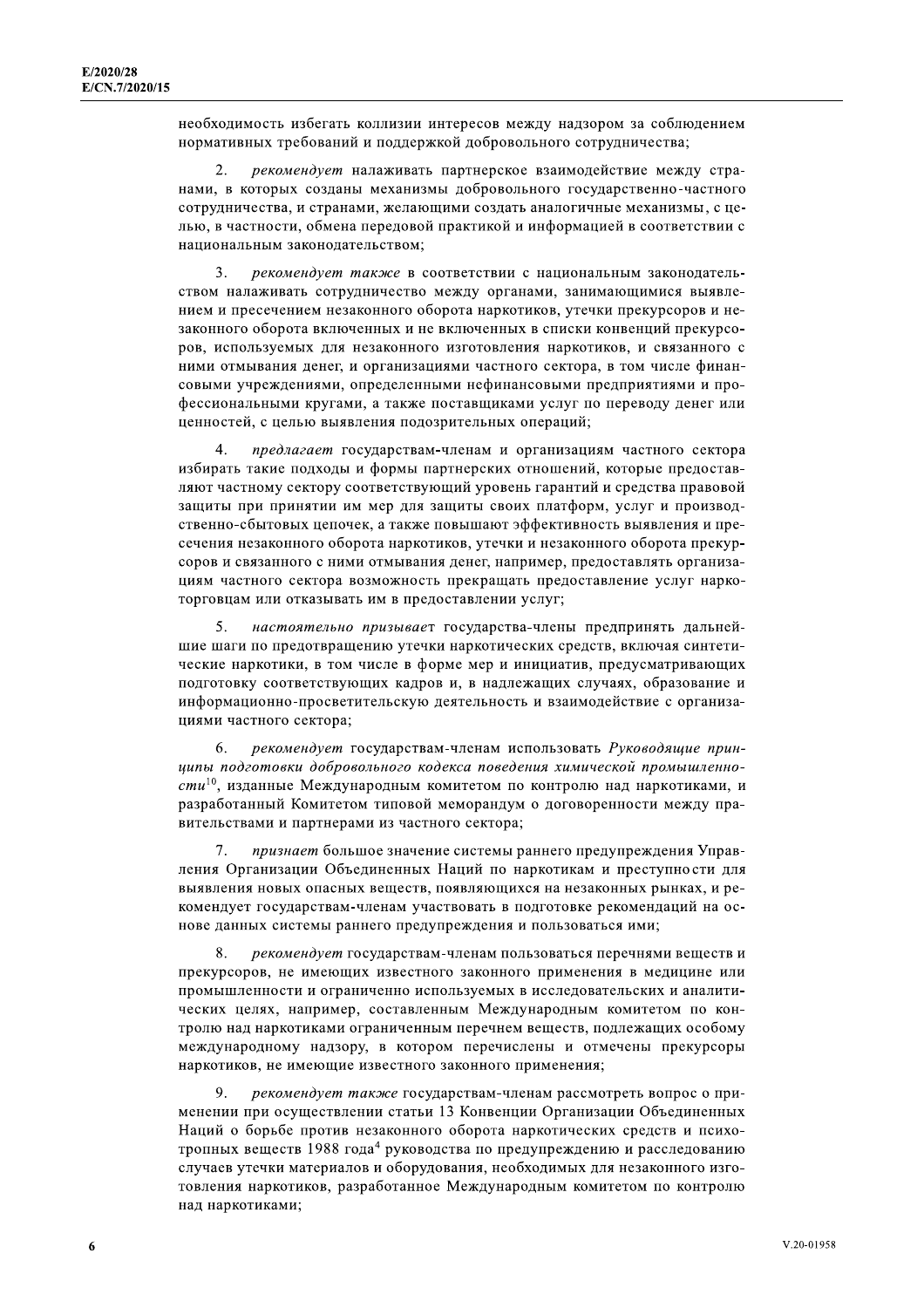необходимость избегать коллизии интересов между надзором за соблюдением нормативных требований и поддержкой добровольного сотрудничества;

рекомендует налаживать партнерское взаимодействие между странами, в которых созданы механизмы добровольного государственно-частного сотрудничества, и странами, желающими создать аналогичные механизмы, с целью, в частности, обмена передовой практикой и информацией в соответствии с национальным законодательством;

 $\mathbf{3}$ рекомендует также в соответствии с национальным законодательством налаживать сотрудничество между органами, занимающимися выявлением и пресечением незаконного оборота наркотиков, утечки прекурсоров и незаконного оборота включенных и не включенных в списки конвенций прекурсоров, используемых для незаконного изготовления наркотиков, и связанного с ними отмывания денег, и организациями частного сектора, в том числе финансовыми учреждениями, определенными нефинансовыми предприятиями и профессиональными кругами, а также поставщиками услуг по переводу денег или ценностей, с целью выявления подозрительных операций;

предлагает государствам-членам и организациям частного сектора избирать такие подходы и формы партнерских отношений, которые предоставляют частному сектору соответствующий уровень гарантий и средства правовой защиты при принятии им мер для защиты своих платформ, услуг и производственно-сбытовых цепочек, а также повышают эффективность выявления и пресечения незаконного оборота наркотиков, утечки и незаконного оборота прекурсоров и связанного с ними отмывания денег, например, предоставлять организациям частного сектора возможность прекращать предоставление услуг наркоторговцам или отказывать им в предоставлении услуг;

5. настоятельно призывает государства-члены предпринять дальнейшие шаги по предотвращению утечки наркотических средств, включая синтетические наркотики, в том числе в форме мер и инициатив, предусматривающих подготовку соответствующих кадров и, в надлежащих случаях, образование и информационно-просветительскую деятельность и взаимодействие с организациями частного сектора:

6. рекомендует государствам-членам использовать Руководящие принципы подготовки добровольного кодекса поведения химической промышленности<sup>10</sup>, изданные Международным комитетом по контролю над наркотиками, и разработанный Комитетом типовой меморандум о договоренности между правительствами и партнерами из частного сектора;

7. признает большое значение системы раннего предупреждения Управления Организации Объединенных Наций по наркотикам и преступности для выявления новых опасных веществ, появляющихся на незаконных рынках, и рекомендует государствам-членам участвовать в подготовке рекомендаций на основе данных системы раннего предупреждения и пользоваться ими;

 $\mathbf{R}$ рекомендует государствам-членам пользоваться перечнями веществ и прекурсоров, не имеющих известного законного применения в медицине или промышленности и ограниченно используемых в исследовательских и аналитических целях, например, составленным Международным комитетом по контролю над наркотиками ограниченным перечнем веществ, подлежащих особому международному надзору, в котором перечислены и отмечены прекурсоры наркотиков, не имеющие известного законного применения;

 $\mathbf Q$ рекомендует также государствам-членам рассмотреть вопрос о применении при осуществлении статьи 13 Конвенции Организации Объединенных Наций о борьбе против незаконного оборота наркотических средств и психотропных веществ 1988 года<sup>4</sup> руководства по предупреждению и расследованию случаев утечки материалов и оборудования, необходимых для незаконного изготовления наркотиков, разработанное Международным комитетом по контролю над наркотиками;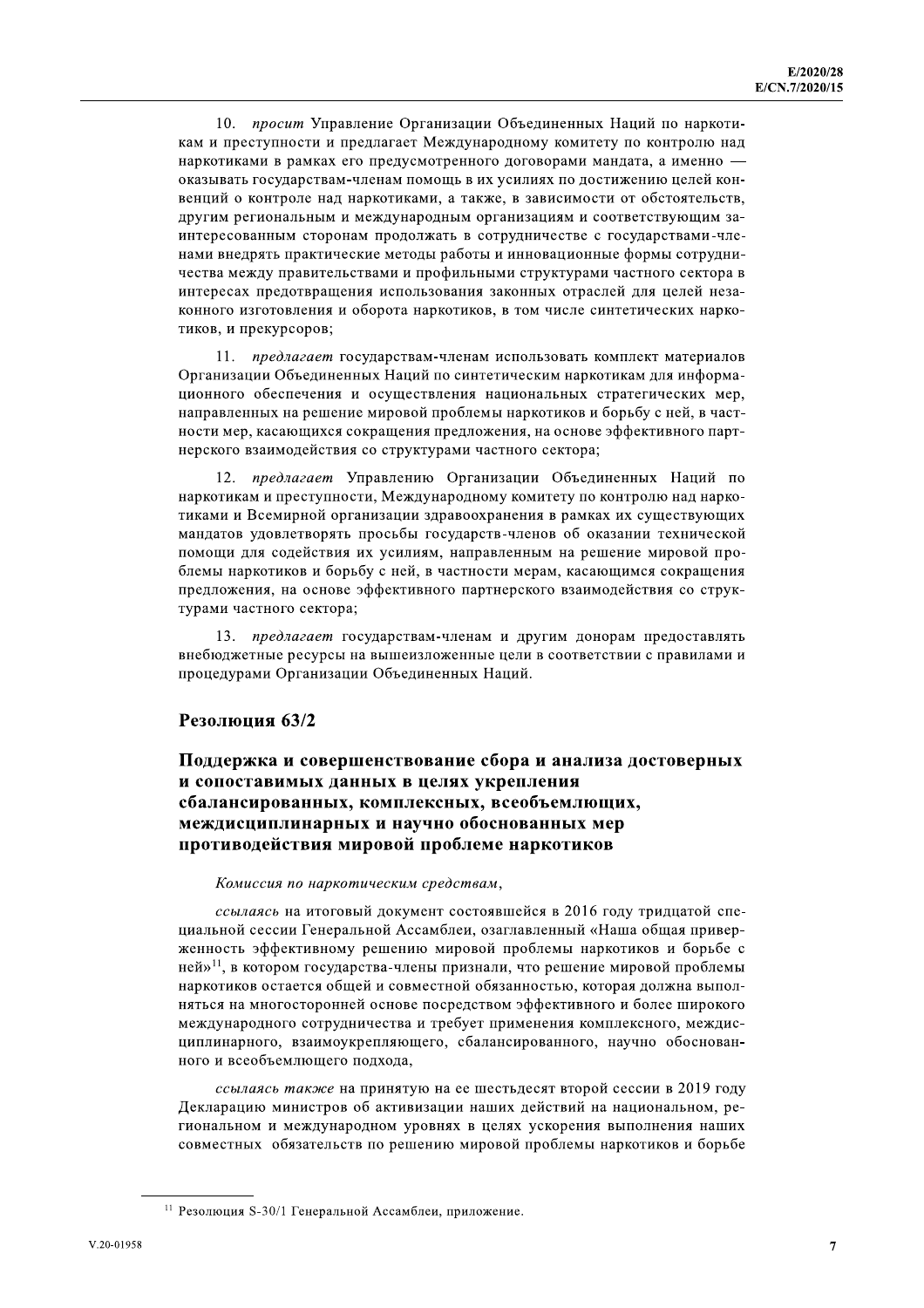просит Управление Организации Объединенных Наций по наркоти-10. кам и преступности и предлагает Международному комитету по контролю над наркотиками в рамках его предусмотренного договорами мандата, а именно оказывать государствам-членам помощь в их усилиях по достижению целей конвенций о контроле над наркотиками, а также, в зависимости от обстоятельств, другим региональным и международным организациям и соответствующим заинтересованным сторонам продолжать в сотрудничестве с государствами-членами внедрять практические методы работы и инновационные формы сотрудничества между правительствами и профильными структурами частного сектора в интересах предотвращения использования законных отраслей для целей незаконного изготовления и оборота наркотиков, в том числе синтетических наркотиков, и прекурсоров;

11. предлагает государствам-членам использовать комплект материалов Организации Объединенных Наций по синтетическим наркотикам для информационного обеспечения и осуществления национальных стратегических мер, направленных на решение мировой проблемы наркотиков и борьбу с ней, в частности мер, касающихся сокращения предложения, на основе эффективного партнерского взаимодействия со структурами частного сектора;

12. предлагает Управлению Организации Объединенных Наций по наркотикам и преступности, Международному комитету по контролю над наркотиками и Всемирной организации здравоохранения в рамках их существующих мандатов удовлетворять просьбы государств-членов об оказании технической помощи для содействия их усилиям, направленным на решение мировой проблемы наркотиков и борьбу с ней, в частности мерам, касающимся сокращения предложения, на основе эффективного партнерского взаимодействия со структурами частного сектора;

13. предлагает государствам-членам и другим донорам предоставлять внебюджетные ресурсы на вышеизложенные цели в соответствии с правилами и процедурами Организации Объединенных Наций.

#### Резолюция 63/2

# Поддержка и совершенствование сбора и анализа достоверных и сопоставимых данных в целях укрепления сбалансированных, комплексных, всеобъемлющих, междисциплинарных и научно обоснованных мер противодействия мировой проблеме наркотиков

#### Комиссия по наркотическим средствам,

ссылаясь на итоговый документ состоявшейся в 2016 году тридцатой специальной сессии Генеральной Ассамблеи, озаглавленный «Наша общая приверженность эффективному решению мировой проблемы наркотиков и борьбе с ней»<sup>11</sup>, в котором государства-члены признали, что решение мировой проблемы наркотиков остается общей и совместной обязанностью, которая должна выполняться на многосторонней основе посредством эффективного и более широкого международного сотрудничества и требует применения комплексного, междисциплинарного, взаимоукрепляющего, сбалансированного, научно обоснованного и всеобъемлющего подхода,

ссылаясь также на принятую на ее шестьдесят второй сессии в 2019 году Декларацию министров об активизации наших действий на национальном, региональном и международном уровнях в целях ускорения выполнения наших совместных обязательств по решению мировой проблемы наркотиков и борьбе

<sup>&</sup>lt;sup>11</sup> Резолюция S-30/1 Генеральной Ассамблеи, приложение.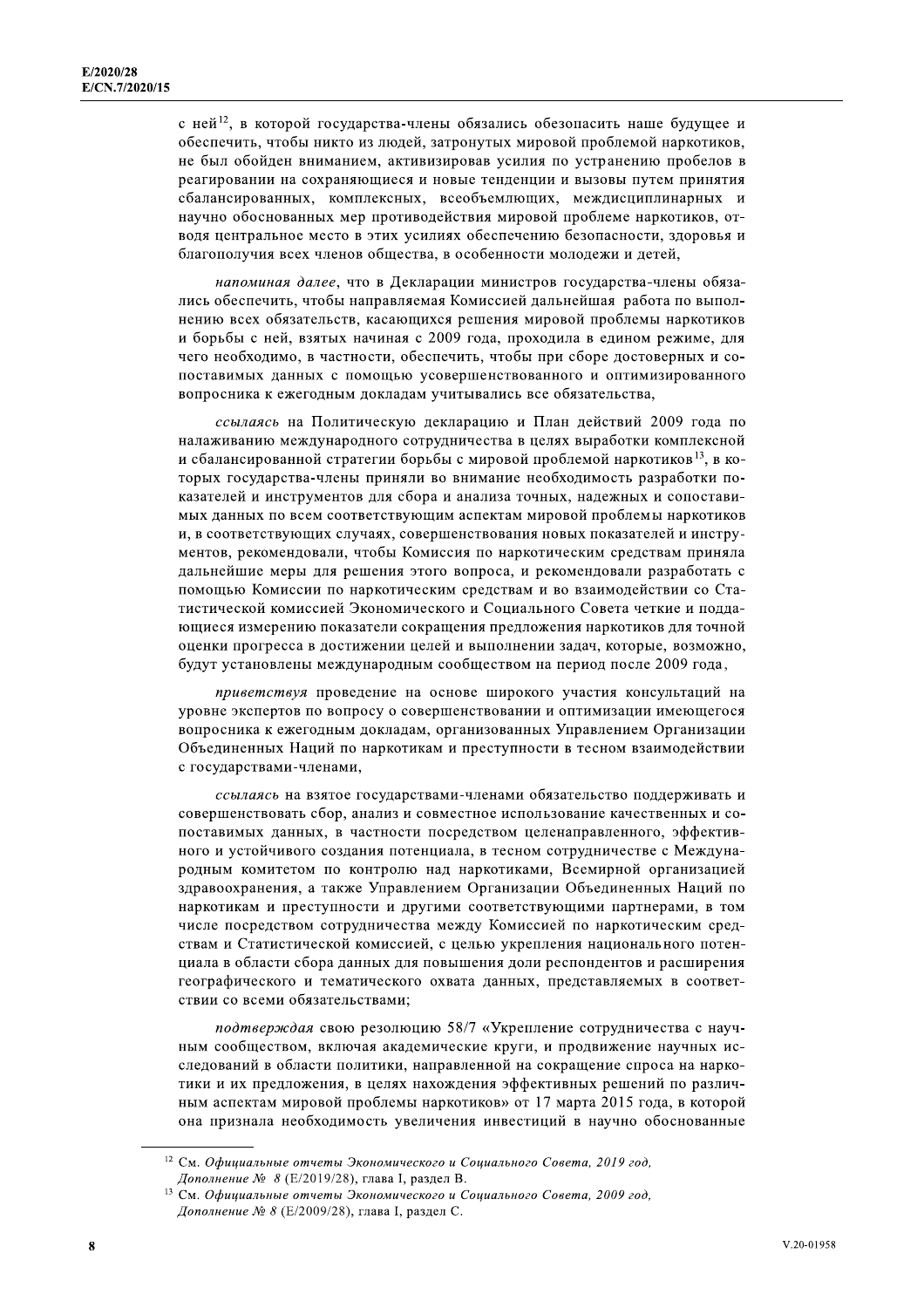с ней<sup>12</sup>, в которой государства-члены обязались обезопасить наше будущее и обеспечить, чтобы никто из людей, затронутых мировой проблемой наркотиков, не был обойден вниманием, активизировав усилия по устранению пробелов в реагировании на сохраняющиеся и новые тенденции и вызовы путем принятия сбалансированных, комплексных, всеобъемлющих, междисциплинарных и научно обоснованных мер противодействия мировой проблеме наркотиков, отводя центральное место в этих усилиях обеспечению безопасности, здоровья и благополучия всех членов общества, в особенности молодежи и детей,

напоминая далее, что в Декларации министров государства-члены обязались обеспечить, чтобы направляемая Комиссией дальнейшая работа по выполнению всех обязательств, касающихся решения мировой проблемы наркотиков и борьбы с ней, взятых начиная с 2009 года, проходила в едином режиме, для чего необходимо, в частности, обеспечить, чтобы при сборе достоверных и сопоставимых данных с помощью усовершенствованного и оптимизированного вопросника к ежегодным докладам учитывались все обязательства,

ссылаясь на Политическую декларацию и План действий 2009 года по налаживанию международного сотрудничества в целях выработки комплексной и сбалансированной стратегии борьбы с мировой проблемой наркотиков<sup>13</sup>, в которых государства-члены приняли во внимание необходимость разработки показателей и инструментов для сбора и анализа точных, надежных и сопоставимых данных по всем соответствующим аспектам мировой проблемы наркотиков и, в соответствующих случаях, совершенствования новых показателей и инструментов, рекомендовали, чтобы Комиссия по наркотическим средствам приняла дальнейшие меры для решения этого вопроса, и рекомендовали разработать с помощью Комиссии по наркотическим средствам и во взаимодействии со Статистической комиссией Экономического и Социального Совета четкие и поддающиеся измерению показатели сокращения предложения наркотиков для точной оценки прогресса в достижении целей и выполнении задач, которые, возможно, будут установлены международным сообществом на период после 2009 года,

приветствуя проведение на основе широкого участия консультаций на уровне экспертов по вопросу о совершенствовании и оптимизации имеющегося вопросника к ежегодным докладам, организованных Управлением Организации Объединенных Наций по наркотикам и преступности в тесном взаимодействии с государствами-членами,

ссылаясь на взятое государствами-членами обязательство поддерживать и совершенствовать сбор, анализ и совместное использование качественных и сопоставимых данных, в частности посредством целенаправленного, эффективного и устойчивого создания потенциала, в тесном сотрудничестве с Международным комитетом по контролю над наркотиками, Всемирной организацией здравоохранения, а также Управлением Организации Объединенных Наций по наркотикам и преступности и другими соответствующими партнерами, в том числе посредством сотрудничества между Комиссией по наркотическим средствам и Статистической комиссией, с целью укрепления национального потенциала в области сбора данных для повышения доли респондентов и расширения географического и тематического охвата данных, представляемых в соответствии со всеми обязательствами:

подтверждая свою резолюцию 58/7 «Укрепление сотрудничества с научным сообществом, включая академические круги, и продвижение научных исследований в области политики, направленной на сокращение спроса на наркотики и их предложения, в целях нахождения эффективных решений по различным аспектам мировой проблемы наркотиков» от 17 марта 2015 года, в которой она признала необходимость увеличения инвестиций в научно обоснованные

<sup>12</sup> См. Официальные отчеты Экономического и Социального Совета, 2019 год, Дополнение № 8 (Е/2019/28), глава I, раздел В.

<sup>13</sup> См. Официальные отчеты Экономического и Социального Совета, 2009 год, Дополнение № 8 (Е/2009/28), глава I, раздел С.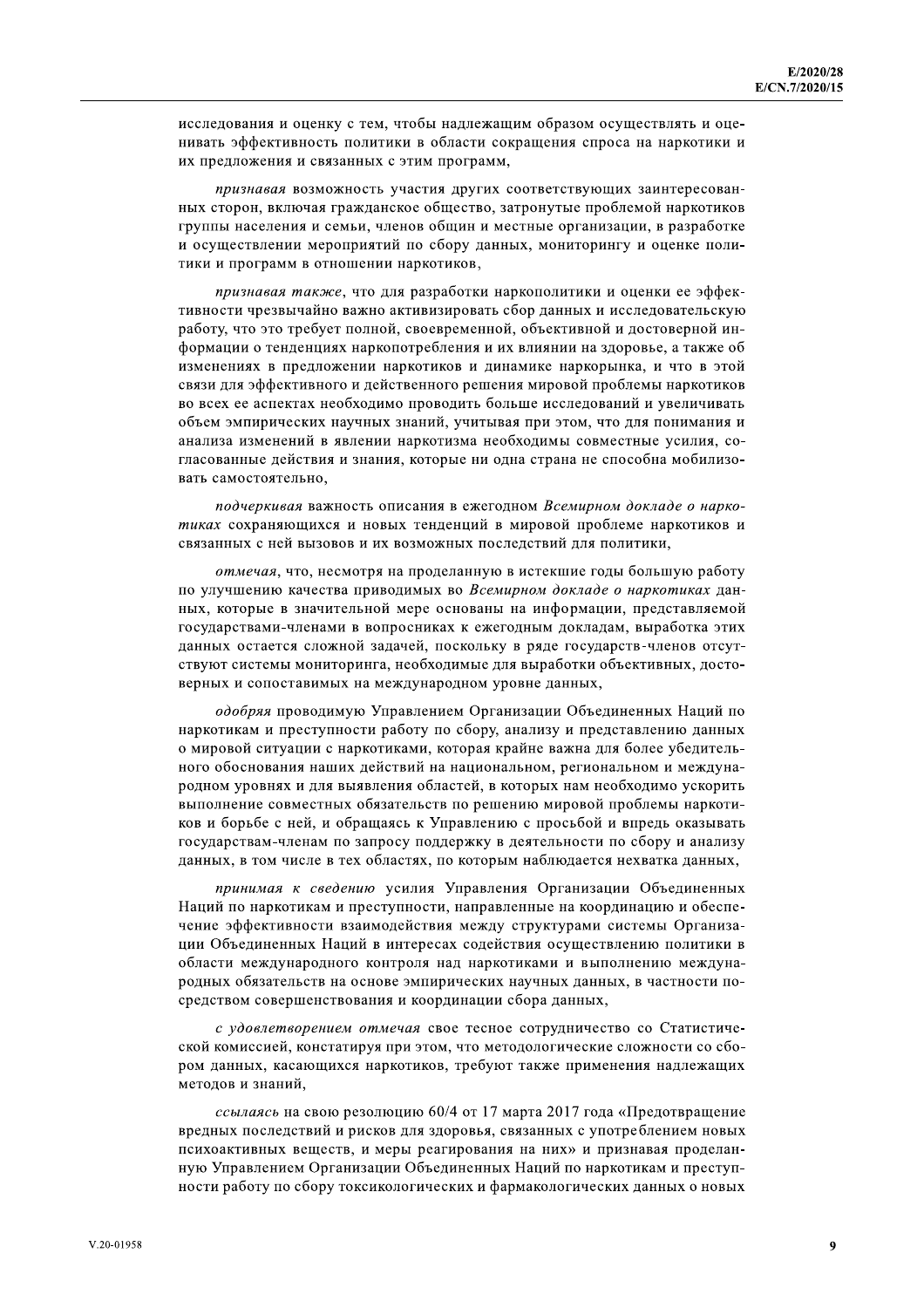исследования и оценку с тем, чтобы надлежащим образом осуществлять и оценивать эффективность политики в области сокращения спроса на наркотики и их предложения и связанных с этим программ,

признавая возможность участия других соответствующих заинтересованных сторон, включая гражданское общество, затронутые проблемой наркотиков группы населения и семьи, членов общин и местные организации, в разработке и осуществлении мероприятий по сбору данных, мониторингу и оценке политики и программ в отношении наркотиков,

признавая также, что для разработки наркополитики и оценки ее эффективности чрезвычайно важно активизировать сбор данных и исследовательскую работу, что это требует полной, своевременной, объективной и достоверной информации о тенденциях наркопотребления и их влиянии на здоровье, а также об изменениях в предложении наркотиков и динамике наркорынка, и что в этой связи для эффективного и действенного решения мировой проблемы наркотиков во всех ее аспектах необходимо проводить больше исследований и увеличивать объем эмпирических научных знаний, учитывая при этом, что для понимания и анализа изменений в явлении наркотизма необходимы совместные усилия, согласованные действия и знания, которые ни одна страна не способна мобилизовать самостоятельно,

подчеркивая важность описания в ежегодном Всемирном докладе о наркотиках сохраняющихся и новых тенденций в мировой проблеме наркотиков и связанных с ней вызовов и их возможных последствий для политики,

отмечая, что, несмотря на проделанную в истекшие годы большую работу по улучшению качества приводимых во Всемирном докладе о наркотиках данных, которые в значительной мере основаны на информации, представляемой государствами-членами в вопросниках к ежегодным докладам, выработка этих данных остается сложной задачей, поскольку в ряде государств-членов отсутствуют системы мониторинга, необходимые для выработки объективных, достоверных и сопоставимых на международном уровне данных,

одобряя проводимую Управлением Организации Объединенных Наций по наркотикам и преступности работу по сбору, анализу и представлению данных о мировой ситуации с наркотиками, которая крайне важна для более убедительного обоснования наших действий на национальном, региональном и международном уровнях и для выявления областей, в которых нам необходимо ускорить выполнение совместных обязательств по решению мировой проблемы наркотиков и борьбе с ней, и обращаясь к Управлению с просьбой и впредь оказывать государствам-членам по запросу поддержку в деятельности по сбору и анализу данных, в том числе в тех областях, по которым наблюдается нехватка данных,

принимая к сведению усилия Управления Организации Объединенных Наций по наркотикам и преступности, направленные на координацию и обеспечение эффективности взаимодействия между структурами системы Организации Объединенных Наций в интересах содействия осуществлению политики в области международного контроля над наркотиками и выполнению международных обязательств на основе эмпирических научных данных, в частности посредством совершенствования и координации сбора данных,

с удовлетворением отмечая свое тесное сотрудничество со Статистической комиссией, констатируя при этом, что методологические сложности со сбором данных, касающихся наркотиков, требуют также применения надлежащих методов и знаний,

ссылаясь на свою резолюцию 60/4 от 17 марта 2017 года «Предотвращение вредных последствий и рисков для здоровья, связанных с употреблением новых психоактивных веществ, и меры реагирования на них» и признавая проделанную Управлением Организации Объединенных Наций по наркотикам и преступности работу по сбору токсикологических и фармакологических данных о новых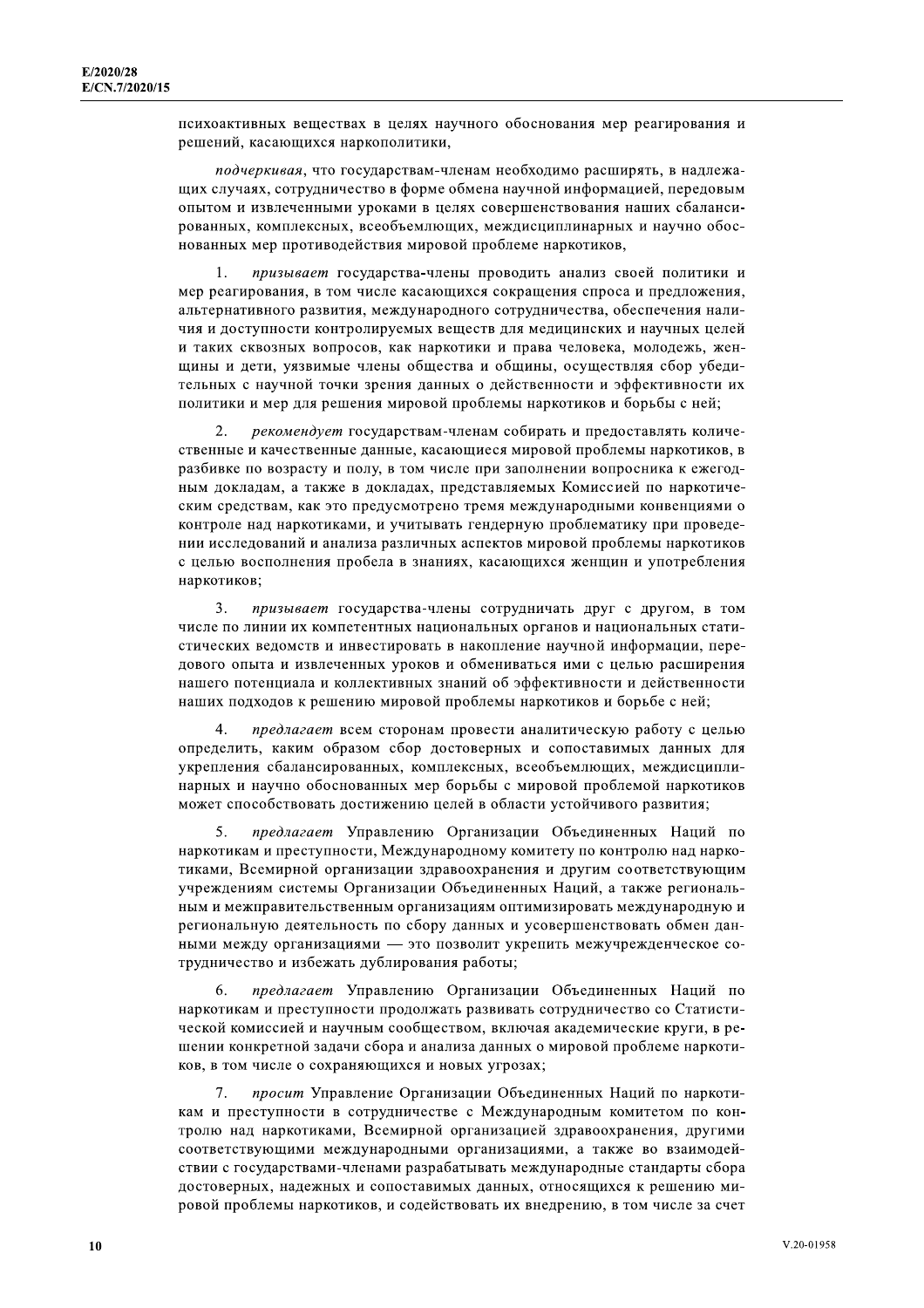психоактивных веществах в целях научного обоснования мер реагирования и решений, касающихся наркополитики,

подчеркивая, что государствам-членам необходимо расширять, в надлежащих случаях, сотрудничество в форме обмена научной информацией, передовым опытом и извлеченными уроками в целях совершенствования наших сбалансированных, комплексных, всеобъемлющих, междисциплинарных и научно обоснованных мер противодействия мировой проблеме наркотиков,

призывает государства-члены проводить анализ своей политики и  $\mathbf{1}$ мер реагирования, в том числе касающихся сокращения спроса и предложения, альтернативного развития, международного сотрудничества, обеспечения наличия и доступности контролируемых веществ для медицинских и научных целей и таких сквозных вопросов, как наркотики и права человека, молодежь, женщины и дети, уязвимые члены общества и общины, осуществляя сбор убедительных с научной точки зрения данных о действенности и эффективности их политики и мер для решения мировой проблемы наркотиков и борьбы с ней;

2. рекомендует государствам-членам собирать и предоставлять количественные и качественные данные, касающиеся мировой проблемы наркотиков, в разбивке по возрасту и полу, в том числе при заполнении вопросника к ежегодным докладам, а также в докладах, представляемых Комиссией по наркотическим средствам, как это предусмотрено тремя международными конвенциями о контроле над наркотиками, и учитывать гендерную проблематику при проведении исследований и анализа различных аспектов мировой проблемы наркотиков с целью восполнения пробела в знаниях, касающихся женщин и употребления наркотиков;

 $3.$ призывает государства-члены сотрудничать друг с другом, в том числе по линии их компетентных национальных органов и национальных статистических ведомств и инвестировать в накопление научной информации, передового опыта и извлеченных уроков и обмениваться ими с целью расширения нашего потенциала и коллективных знаний об эффективности и действенности наших подходов к решению мировой проблемы наркотиков и борьбе с ней;

предлагает всем сторонам провести аналитическую работу с целью  $\Delta$ определить, каким образом сбор достоверных и сопоставимых данных для укрепления сбалансированных, комплексных, всеобъемлющих, междисциплинарных и научно обоснованных мер борьбы с мировой проблемой наркотиков может способствовать достижению целей в области устойчивого развития;

5. предлагает Управлению Организации Объединенных Наций по наркотикам и преступности, Международному комитету по контролю над наркотиками, Всемирной организации здравоохранения и другим соответствующим учреждениям системы Организации Объединенных Наций, а также региональным и межправительственным организациям оптимизировать международную и региональную деятельность по сбору данных и усовершенствовать обмен данными между организациями - это позволит укрепить межучрежденческое сотрудничество и избежать дублирования работы;

предлагает Управлению Организации Объединенных Наций по 6 наркотикам и преступности продолжать развивать сотрудничество со Статистической комиссией и научным сообществом, включая академические круги, в решении конкретной задачи сбора и анализа данных о мировой проблеме наркотиков, в том числе о сохраняющихся и новых угрозах;

 $7<sub>1</sub>$ просит Управление Организации Объединенных Наций по наркотикам и преступности в сотрудничестве с Международным комитетом по контролю над наркотиками, Всемирной организацией здравоохранения, другими соответствующими международными организациями, а также во взаимодействии с государствами-членами разрабатывать международные стандарты сбора лостоверных, належных и сопоставимых данных, относящихся к решению мировой проблемы наркотиков, и содействовать их внедрению, в том числе за счет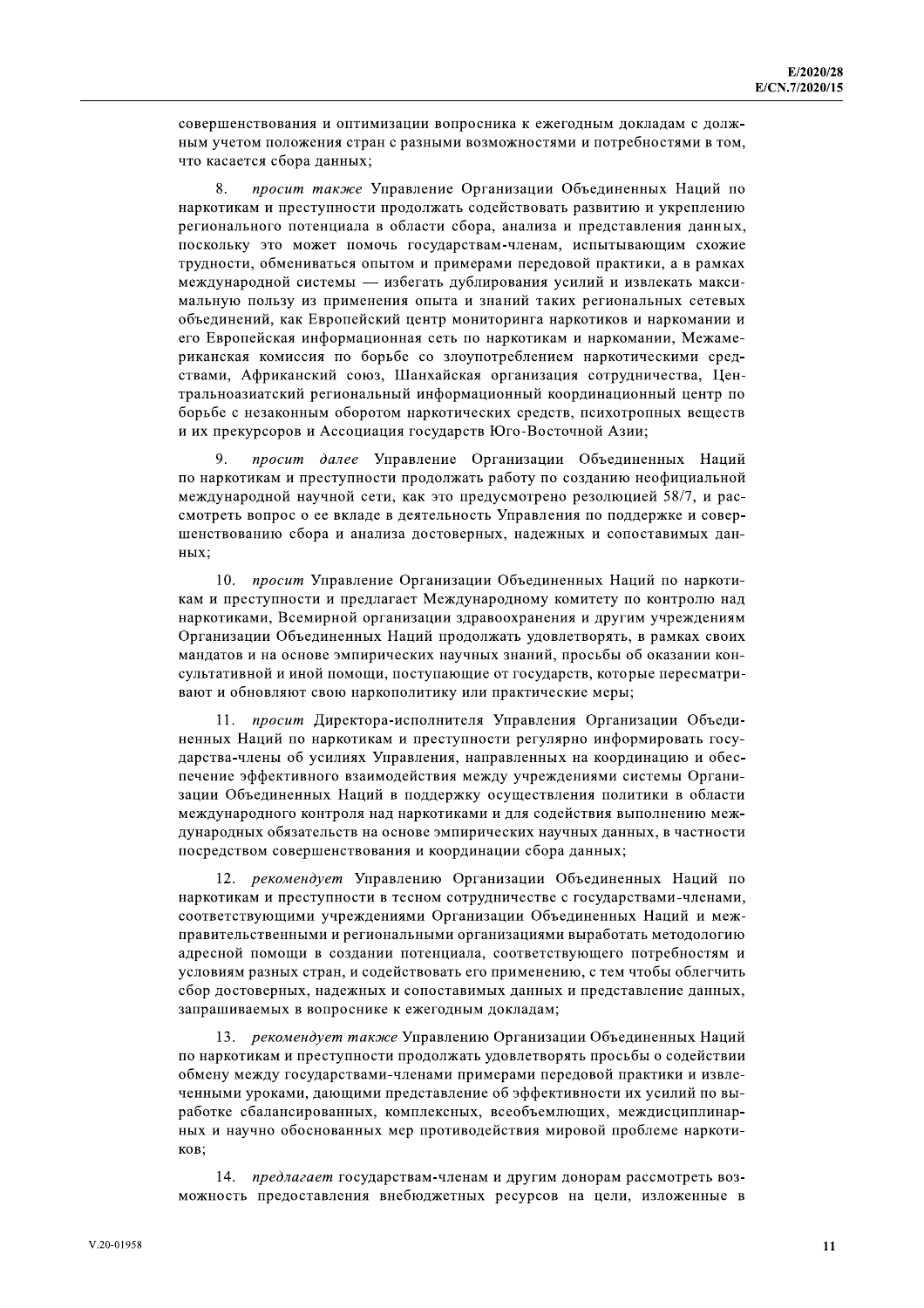совершенствования и оптимизации вопросника к ежегодным докладам с должным учетом положения стран с разными возможностями и потребностями в том, что касается сбора данных;

8. просит также Управление Организации Объединенных Наций по наркотикам и преступности продолжать содействовать развитию и укреплению регионального потенциала в области сбора, анализа и представления данных, поскольку это может помочь государствам-членам, испытывающим схожие трудности, обмениваться опытом и примерами передовой практики, а в рамках международной системы - избегать дублирования усилий и извлекать максимальную пользу из применения опыта и знаний таких региональных сетевых объединений, как Европейский центр мониторинга наркотиков и наркомании и его Европейская информационная сеть по наркотикам и наркомании, Межамериканская комиссия по борьбе со злоупотреблением наркотическими средствами, Африканский союз, Шанхайская организация сотрудничества, Центральноазиатский региональный информационный координационный центр по борьбе с незаконным оборотом наркотических средств, психотропных веществ и их прекурсоров и Ассоциация государств Юго-Восточной Азии;

9 просит далее Управление Организации Объединенных Наций по наркотикам и преступности продолжать работу по созданию неофициальной международной научной сети, как это предусмотрено резолюцией 58/7, и рассмотреть вопрос о ее вкладе в деятельность Управления по поддержке и совершенствованию сбора и анализа достоверных, надежных и сопоставимых данных;

10. просит Управление Организации Объединенных Наций по наркотикам и преступности и предлагает Международному комитету по контролю над наркотиками, Всемирной организации здравоохранения и другим учреждениям Организации Объединенных Наций продолжать удовлетворять, в рамках своих мандатов и на основе эмпирических научных знаний, просьбы об оказании консультативной и иной помощи, поступающие от государств, которые пересматривают и обновляют свою наркополитику или практические меры;

11. просит Директора-исполнителя Управления Организации Объединенных Наций по наркотикам и преступности регулярно информировать государства-члены об усилиях Управления, направленных на координацию и обеспечение эффективного взаимодействия между учреждениями системы Организации Объединенных Наций в поддержку осуществления политики в области международного контроля над наркотиками и для содействия выполнению международных обязательств на основе эмпирических научных данных, в частности посредством совершенствования и координации сбора данных;

12. рекомендует Управлению Организации Объединенных Наций по наркотикам и преступности в тесном сотрудничестве с государствами-членами, соответствующими учреждениями Организации Объединенных Наций и межправительственными и региональными организациями выработать методологию адресной помощи в создании потенциала, соответствующего потребностям и условиям разных стран, и содействовать его применению, с тем чтобы облегчить сбор достоверных, надежных и сопоставимых данных и представление данных, запрашиваемых в вопроснике к ежегодным докладам;

13. рекомендует также Управлению Организации Объединенных Наций по наркотикам и преступности продолжать удовлетворять просьбы о содействии обмену между государствами-членами примерами передовой практики и извлеченными уроками, дающими представление об эффективности их усилий по выработке сбалансированных, комплексных, всеобъемлющих, междисциплинарных и научно обоснованных мер противодействия мировой проблеме наркотиков:

14. предлагает государствам-членам и другим донорам рассмотреть возможность предоставления внебюджетных ресурсов на цели, изложенные в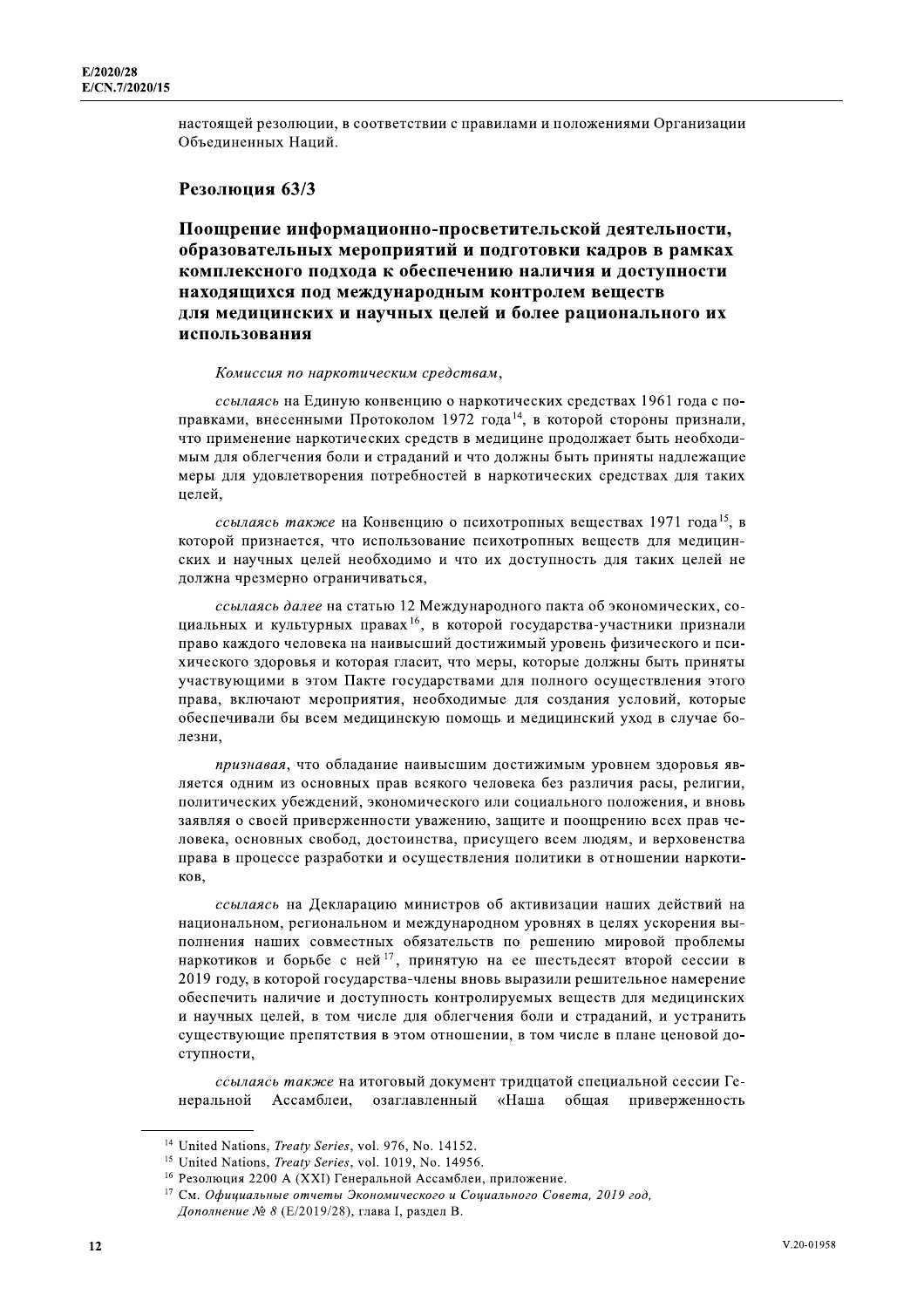настоящей резолюции, в соответствии с правилами и положениями Организации Объединенных Наций.

#### Резолюция 63/3

Поощрение информационно-просветительской деятельности, образовательных мероприятий и подготовки кадров в рамках комплексного подхода к обеспечению наличия и доступности находящихся под международным контролем веществ для медицинских и научных целей и более рационального их использования

#### Комиссия по наркотическим средствам,

ссылаясь на Единую конвенцию о наркотических средствах 1961 года с поправками, внесенными Протоколом 1972 года<sup>14</sup>, в которой стороны признали, что применение наркотических средств в медицине продолжает быть необходимым для облегчения боли и страданий и что должны быть приняты надлежащие меры для удовлетворения потребностей в наркотических средствах для таких целей.

ссылаясь также на Конвенцию о психотропных веществах 1971 года<sup>15</sup>, в которой признается, что использование психотропных вешеств для медицинских и научных целей необходимо и что их доступность для таких целей не должна чрезмерно ограничиваться,

ссылаясь далее на статью 12 Международного пакта об экономических, социальных и культурных правах<sup>16</sup>, в которой государства-участники признали право каждого человека на наивысший достижимый уровень физического и психического здоровья и которая гласит, что меры, которые должны быть приняты участвующими в этом Пакте государствами для полного осуществления этого права, включают мероприятия, необходимые для создания условий, которые обеспечивали бы всем медицинскую помощь и медицинский уход в случае болезни,

признавая, что обладание наивысшим достижимым уровнем здоровья является одним из основных прав всякого человека без различия расы, религии, политических убеждений, экономического или социального положения, и вновь заявляя о своей приверженности уважению, защите и поощрению всех прав человека, основных свобод, достоинства, присущего всем людям, и верховенства права в процессе разработки и осуществления политики в отношении наркотиков,

ссылаясь на Декларацию министров об активизации наших действий на национальном, региональном и международном уровнях в целях ускорения выполнения наших совместных обязательств по решению мировой проблемы наркотиков и борьбе с ней<sup>17</sup>, принятую на ее шестьдесят второй сессии в 2019 году, в которой государства-члены вновь выразили решительное намерение обеспечить наличие и доступность контролируемых веществ для медицинских и научных целей, в том числе для облегчения боли и страданий, и устранить существующие препятствия в этом отношении, в том числе в плане ценовой доступности,

ссылаясь также на итоговый документ тридцатой специальной сессии Генеральной Ассамблеи. озаглавленный «Наша общая приверженность

<sup>&</sup>lt;sup>14</sup> United Nations, *Treaty Series*, vol. 976, No. 14152.

<sup>&</sup>lt;sup>15</sup> United Nations, *Treaty Series*, vol. 1019, No. 14956.

<sup>&</sup>lt;sup>16</sup> Резолюция 2200 A (XXI) Генеральной Ассамблеи, приложение.

<sup>17</sup> См. Официальные отчеты Экономического и Социального Совета, 2019 год, Дополнение № 8 (Е/2019/28), глава I, раздел В.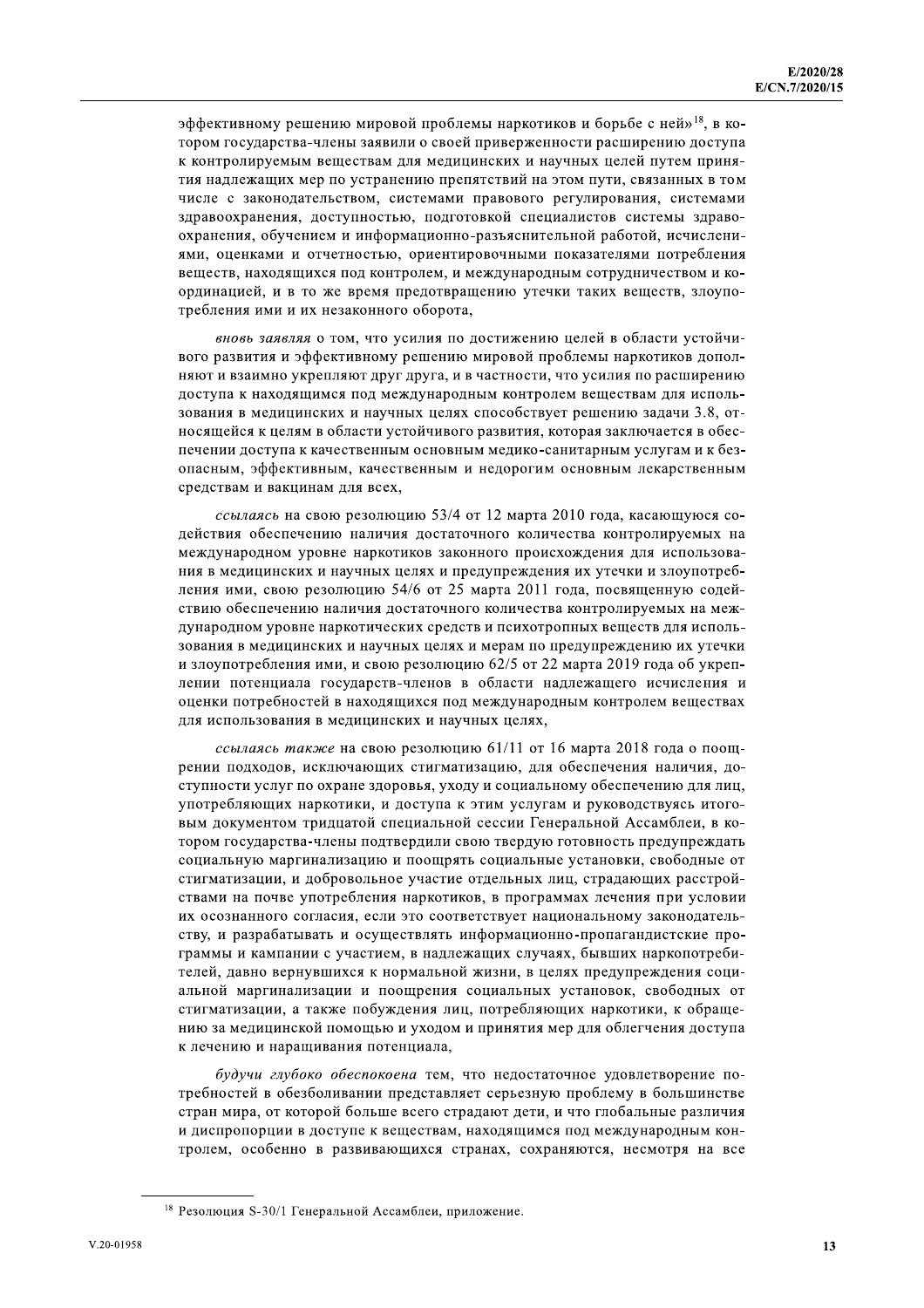эффективному решению мировой проблемы наркотиков и борьбе с ней»<sup>18</sup>, в котором государства-члены заявили о своей приверженности расширению доступа к контролируемым веществам для медицинских и научных целей путем принятия надлежащих мер по устранению препятствий на этом пути, связанных в том числе с законодательством, системами правового регулирования, системами здравоохранения, доступностью, подготовкой специалистов системы здравоохранения, обучением и информационно-разъяснительной работой, исчислениями, оценками и отчетностью, ориентировочными показателями потребления веществ, находящихся под контролем, и международным сотрудничеством и координацией, и в то же время предотвращению утечки таких веществ, злоупотребления ими и их незаконного оборота,

вновь заявляя о том, что усилия по достижению целей в области устойчивого развития и эффективному решению мировой проблемы наркотиков дополняют и взаимно укрепляют друг друга, и в частности, что усилия по расширению доступа к находящимся под международным контролем веществам для использования в медицинских и научных целях способствует решению задачи 3.8, относящейся к целям в области устойчивого развития, которая заключается в обеспечении доступа к качественным основным медико-санитарным услугам и к безопасным, эффективным, качественным и недорогим основным лекарственным средствам и вакцинам для всех.

ссылаясь на свою резолюцию 53/4 от 12 марта 2010 года, касающуюся содействия обеспечению наличия достаточного количества контролируемых на международном уровне наркотиков законного происхождения для использования в медицинских и научных целях и предупреждения их утечки и злоупотребления ими, свою резолюцию 54/6 от 25 марта 2011 года, посвященную содействию обеспечению наличия достаточного количества контролируемых на международном уровне наркотических средств и психотропных веществ для использования в медицинских и научных целях и мерам по предупреждению их утечки и злоупотребления ими, и свою резолюцию 62/5 от 22 марта 2019 года об укреплении потенциала государств-членов в области надлежащего исчисления и оценки потребностей в находящихся под международным контролем веществах для использования в медицинских и научных целях,

ссылаясь также на свою резолюцию 61/11 от 16 марта 2018 года о поощрении подходов, исключающих стигматизацию, для обеспечения наличия, доступности услуг по охране здоровья, уходу и социальному обеспечению для лиц, употребляющих наркотики, и доступа к этим услугам и руководствуясь итоговым документом тридцатой специальной сессии Генеральной Ассамблеи, в котором государства-члены подтвердили свою твердую готовность предупреждать социальную маргинализацию и поощрять социальные установки, свободные от стигматизации, и добровольное участие отдельных лиц, страдающих расстройствами на почве употребления наркотиков, в программах лечения при условии их осознанного согласия, если это соответствует национальному законодательству, и разрабатывать и осуществлять информационно-пропагандистские программы и кампании с участием, в надлежащих случаях, бывших наркопотребителей, давно вернувшихся к нормальной жизни, в целях предупреждения социальной маргинализации и поощрения социальных установок, свободных от стигматизации, а также побуждения лиц, потребляющих наркотики, к обращению за медицинской помощью и уходом и принятия мер для облегчения доступа к лечению и наращивания потенциала,

будучи глубоко обеспокоена тем, что недостаточное удовлетворение потребностей в обезболивании представляет серьезную проблему в большинстве стран мира, от которой больше всего страдают дети, и что глобальные различия и диспропорции в доступе к веществам, находящимся под международным контролем, особенно в развивающихся странах, сохраняются, несмотря на все

<sup>&</sup>lt;sup>18</sup> Резолюция S-30/1 Генеральной Ассамблеи, приложение.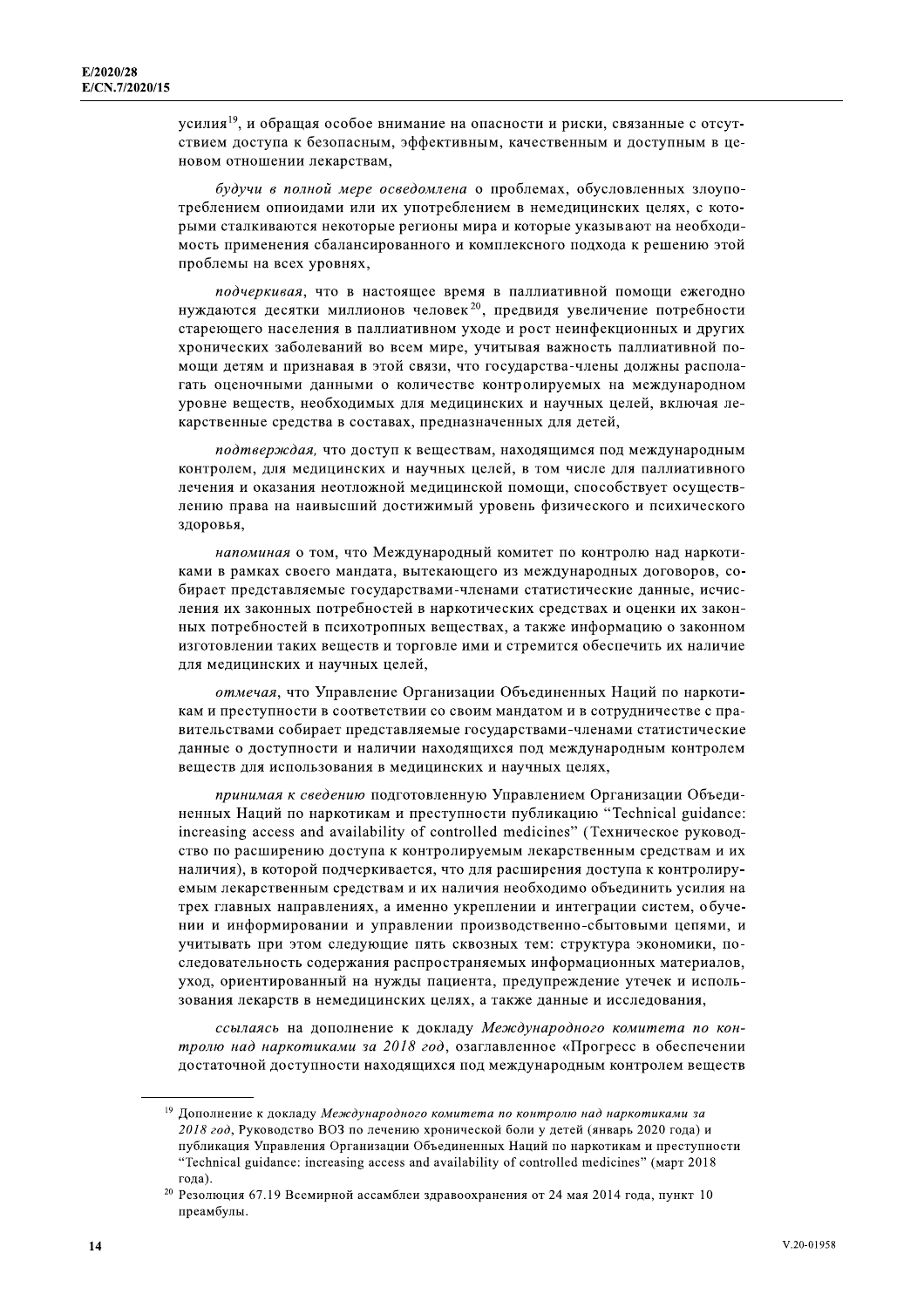усилия<sup>19</sup>, и обращая особое внимание на опасности и риски, связанные с отсутствием доступа к безопасным, эффективным, качественным и доступным в ценовом отношении лекарствам,

будучи в полной мере осведомлена о проблемах, обусловленных злоупотреблением опиоидами или их употреблением в немедицинских целях, с которыми сталкиваются некоторые регионы мира и которые указывают на необходимость применения сбалансированного и комплексного подхода к решению этой проблемы на всех уровнях,

подчеркивая, что в настоящее время в паллиативной помощи ежегодно нуждаются десятки миллионов человек<sup>20</sup>, предвидя увеличение потребности стареющего населения в паллиативном уходе и рост неинфекционных и других хронических заболеваний во всем мире, учитывая важность паллиативной помощи детям и признавая в этой связи, что государства-члены должны располагать оценочными данными о количестве контролируемых на международном уровне веществ, необходимых для медицинских и научных целей, включая лекарственные средства в составах, предназначенных для детей,

подтверждая, что доступ к веществам, находящимся под международным контролем, для медицинских и научных целей, в том числе для паллиативного лечения и оказания неотложной медицинской помощи, способствует осуществлению права на наивысший достижимый уровень физического и психического здоровья,

напоминая о том, что Международный комитет по контролю над наркотиками в рамках своего мандата, вытекающего из международных договоров, собирает представляемые государствами-членами статистические данные, исчисления их законных потребностей в наркотических средствах и оценки их законных потребностей в психотропных веществах, а также информацию о законном изготовлении таких веществ и торговле ими и стремится обеспечить их наличие для медицинских и научных целей,

отмечая, что Управление Организации Объединенных Наций по наркотикам и преступности в соответствии со своим мандатом и в сотрудничестве с правительствами собирает представляемые государствами-членами статистические данные о доступности и наличии находящихся под международным контролем веществ для использования в медицинских и научных целях,

принимая к сведению подготовленную Управлением Организации Объединенных Наций по наркотикам и преступности публикацию "Technical guidance: increasing access and availability of controlled medicines" (Техническое руководство по расширению доступа к контролируемым лекарственным средствам и их наличия), в которой подчеркивается, что для расширения доступа к контролируемым лекарственным средствам и их наличия необходимо объединить усилия на трех главных направлениях, а именно укреплении и интеграции систем, обучении и информировании и управлении производственно-сбытовыми цепями, и учитывать при этом следующие пять сквозных тем: структура экономики, последовательность содержания распространяемых информационных материалов, уход, ориентированный на нужды пациента, предупреждение утечек и использования лекарств в немедицинских целях, а также данные и исследования,

ссылаясь на дополнение к докладу Международного комитета по контролю над наркотиками за 2018 год, озаглавленное «Прогресс в обеспечении достаточной доступности находящихся под международным контролем веществ

<sup>19</sup> Дополнение к докладу Международного комитета по контролю над наркотиками за 2018 год, Руководство ВОЗ по лечению хронической боли у детей (январь 2020 года) и публикация Управления Организации Объединенных Наций по наркотикам и преступности "Technical guidance: increasing access and availability of controlled medicines" (март 2018 года).

<sup>&</sup>lt;sup>20</sup> Резолюция 67.19 Всемирной ассамблеи здравоохранения от 24 мая 2014 года, пункт 10 преамбулы.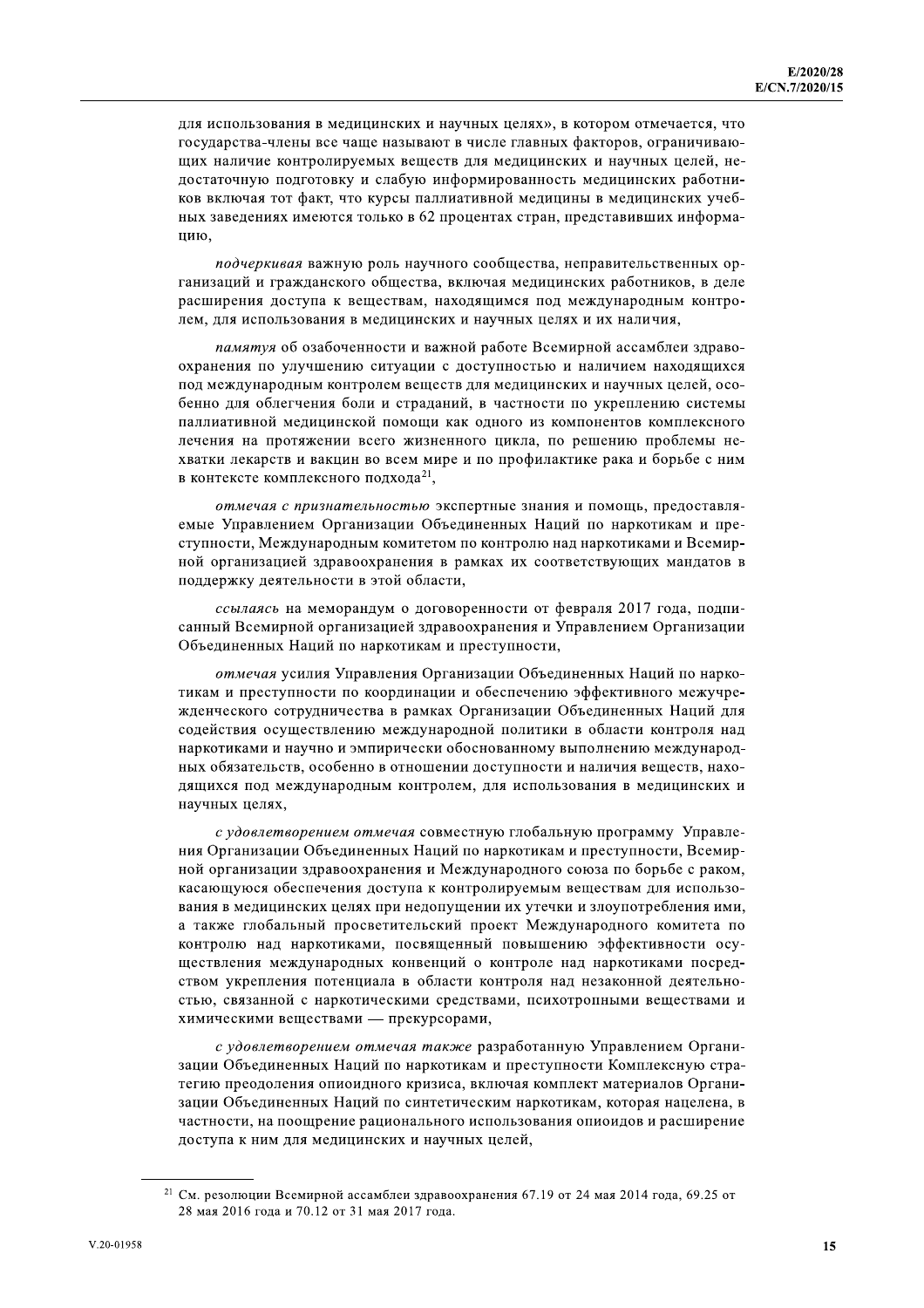для использования в медицинских и научных целях», в котором отмечается, что государства-члены все чаще называют в числе главных факторов, ограничивающих наличие контролируемых веществ для медицинских и научных целей, недостаточную подготовку и слабую информированность медицинских работников включая тот факт, что курсы паллиативной медицины в медицинских учебных заведениях имеются только в 62 процентах стран, представивших информанию

подчеркивая важную роль научного сообщества, неправительственных организаций и гражданского общества, включая медицинских работников, в деле расширения доступа к веществам, находящимся под международным контролем, для использования в медицинских и научных целях и их наличия,

памятуя об озабоченности и важной работе Всемирной ассамблеи здравоохранения по улучшению ситуации с доступностью и наличием находящихся под международным контролем веществ для медицинских и научных целей, особенно для облегчения боли и страданий, в частности по укреплению системы паллиативной медицинской помощи как одного из компонентов комплексного лечения на протяжении всего жизненного цикла, по решению проблемы нехватки лекарств и вакцин во всем мире и по профилактике рака и борьбе с ним в контексте комплексного подхода<sup>21</sup>,

отмечая с признательностью экспертные знания и помощь, предоставляемые Управлением Организации Объединенных Наций по наркотикам и преступности, Международным комитетом по контролю над наркотиками и Всемирной организацией здравоохранения в рамках их соответствующих мандатов в поддержку деятельности в этой области.

ссылаясь на меморандум о договоренности от февраля 2017 года, подписанный Всемирной организацией здравоохранения и Управлением Организации Объединенных Наций по наркотикам и преступности,

отмечая усилия Управления Организации Объединенных Наций по наркотикам и преступности по координации и обеспечению эффективного межучрежденческого сотрудничества в рамках Организации Объединенных Наций для содействия осуществлению международной политики в области контроля над наркотиками и научно и эмпирически обоснованному выполнению международных обязательств, особенно в отношении доступности и наличия веществ, находящихся под международным контролем, для использования в медицинских и научных целях,

с удовлетворением отмечая совместную глобальную программу Управления Организации Объединенных Наций по наркотикам и преступности. Всемирной организации здравоохранения и Международного союза по борьбе с раком, касающуюся обеспечения доступа к контролируемым веществам для использования в медицинских целях при недопущении их утечки и злоупотребления ими, а также глобальный просветительский проект Международного комитета по контролю над наркотиками, посвященный повышению эффективности осуществления международных конвенций о контроле над наркотиками посредством укрепления потенциала в области контроля над незаконной деятельностью, связанной с наркотическими средствами, психотропными веществами и химическими веществами — прекурсорами,

с удовлетворением отмечая также разработанную Управлением Организации Объединенных Наций по наркотикам и преступности Комплексную стратегию преодоления опиоидного кризиса, включая комплект материалов Организации Объединенных Наций по синтетическим наркотикам, которая нацелена, в частности, на поощрение рационального использования опиоидов и расширение доступа к ним для медицинских и научных целей,

<sup>&</sup>lt;sup>21</sup> См. резолюции Всемирной ассамблеи здравоохранения 67.19 от 24 мая 2014 года, 69.25 от 28 мая 2016 года и 70.12 от 31 мая 2017 года.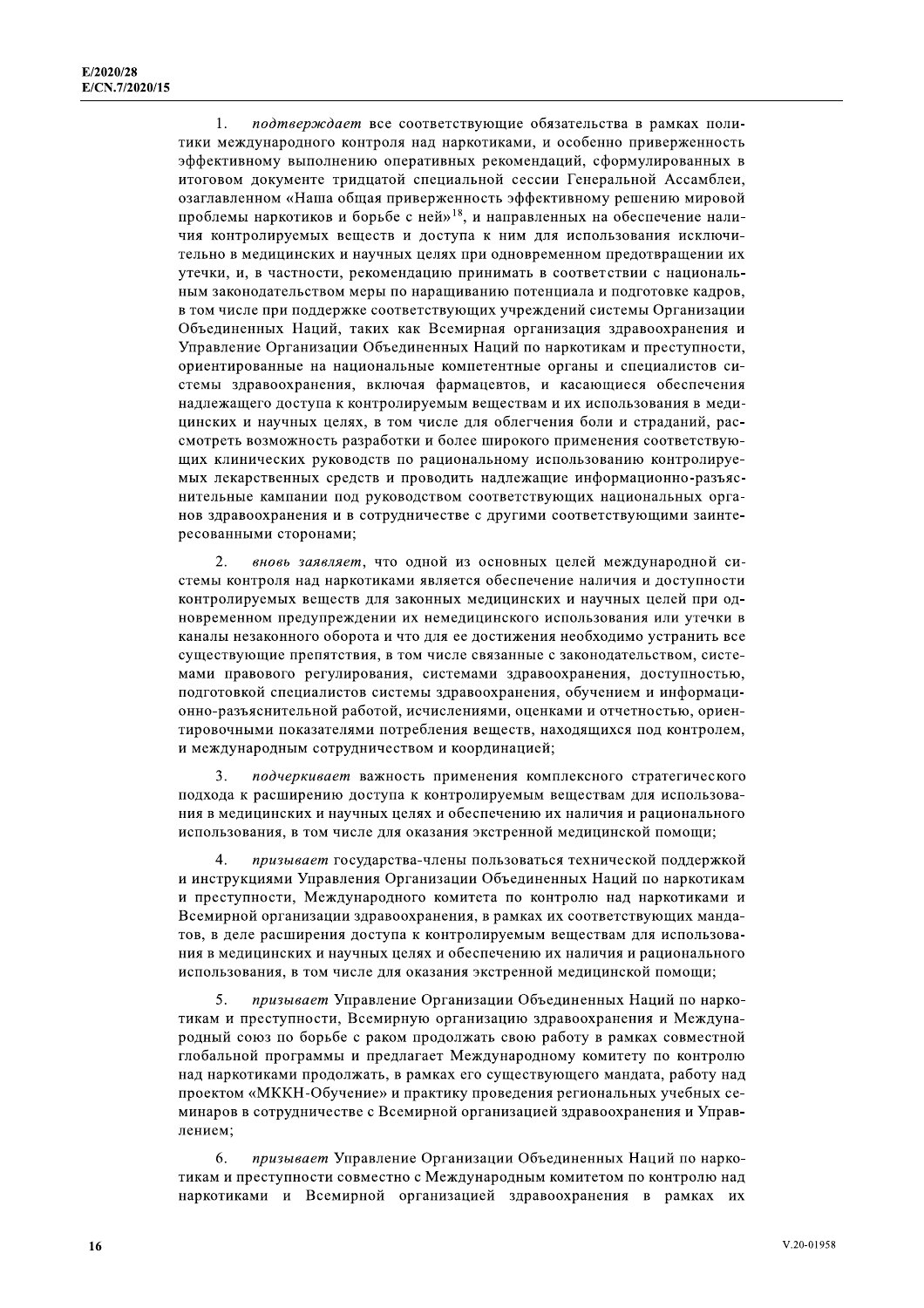подтверждает все соответствующие обязательства в рамках поли- $\mathbf{1}$ . тики международного контроля над наркотиками, и особенно приверженность эффективному выполнению оперативных рекомендаций, сформулированных в итоговом документе тридцатой специальной сессии Генеральной Ассамблеи, озаглавленном «Наша общая приверженность эффективному решению мировой проблемы наркотиков и борьбе с ней»<sup>18</sup>, и направленных на обеспечение наличия контролируемых веществ и доступа к ним для использования исключительно в медицинских и научных целях при одновременном предотвращении их утечки, и, в частности, рекомендацию принимать в соответствии с национальным законодательством меры по наращиванию потенциала и подготовке кадров, в том числе при поддержке соответствующих учреждений системы Организации Объединенных Наций, таких как Всемирная организация здравоохранения и Управление Организации Объединенных Наций по наркотикам и преступности, ориентированные на национальные компетентные органы и специалистов системы здравоохранения, включая фармацевтов, и касающиеся обеспечения надлежащего доступа к контролируемым веществам и их использования в медицинских и научных целях, в том числе для облегчения боли и страданий, рассмотреть возможность разработки и более широкого применения соответствующих клинических руководств по рациональному использованию контролируемых лекарственных средств и проводить надлежащие информационно-разъяснительные кампании под руководством соответствующих национальных органов здравоохранения и в сотрудничестве с другими соответствующими заинтересованными сторонами;

 $\mathcal{L}$ вновь заявляет, что одной из основных целей международной системы контроля над наркотиками является обеспечение наличия и доступности контролируемых веществ для законных медицинских и научных целей при одновременном предупреждении их немедицинского использования или утечки в каналы незаконного оборота и что для ее достижения необходимо устранить все существующие препятствия, в том числе связанные с законодательством, системами правового регулирования, системами здравоохранения, доступностью, подготовкой специалистов системы здравоохранения, обучением и информационно-разъяснительной работой, исчислениями, оценками и отчетностью, ориентировочными показателями потребления веществ, находящихся под контролем, и международным сотрудничеством и координацией;

 $\overline{3}$ . подчеркивает важность применения комплексного стратегического подхода к расширению доступа к контролируемым веществам для использования в медицинских и научных целях и обеспечению их наличия и рационального использования, в том числе для оказания экстренной медицинской помощи;

 $\overline{4}$ призывает государства-члены пользоваться технической поддержкой и инструкциями Управления Организации Объединенных Наций по наркотикам и преступности, Международного комитета по контролю над наркотиками и Всемирной организации здравоохранения, в рамках их соответствующих мандатов, в деле расширения доступа к контролируемым веществам для использования в медицинских и научных целях и обеспечению их наличия и рационального использования, в том числе для оказания экстренной медицинской помощи;

призывает Управление Организации Объединенных Наций по нарко- $5^{\circ}$ тикам и преступности, Всемирную организацию здравоохранения и Международный союз по борьбе с раком продолжать свою работу в рамках совместной глобальной программы и предлагает Международному комитету по контролю над наркотиками продолжать, в рамках его существующего мандата, работу над проектом «МККН-Обучение» и практику проведения региональных учебных семинаров в сотрудничестве с Всемирной организацией здравоохранения и Управлением:

6. призывает Управление Организации Объединенных Наций по наркотикам и преступности совместно с Международным комитетом по контролю над наркотиками и Всемирной организацией здравоохранения в рамках их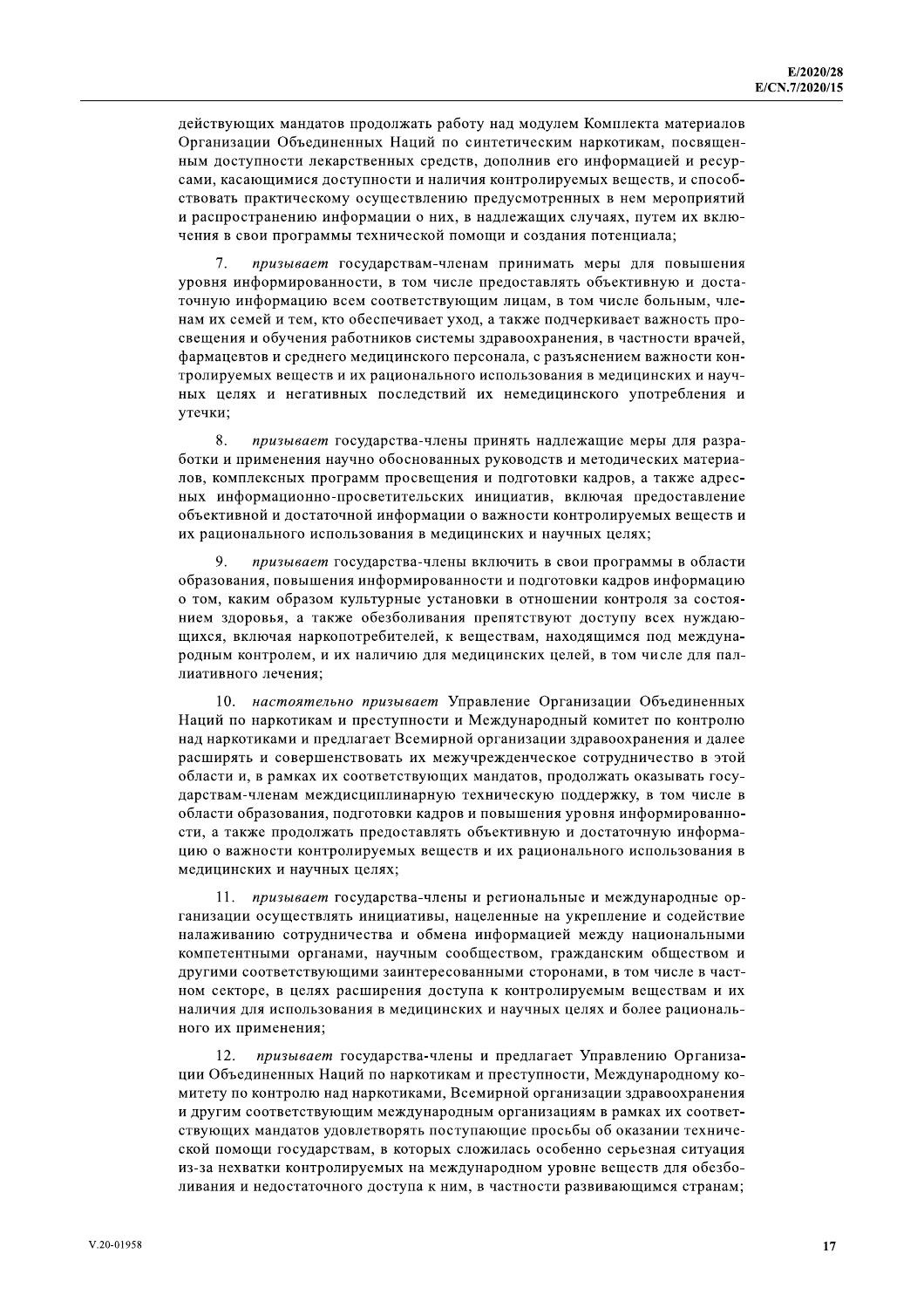действующих мандатов продолжать работу над модулем Комплекта материалов Организации Объединенных Наций по синтетическим наркотикам, посвященным доступности лекарственных средств, дополнив его информацией и ресурсами, касающимися доступности и наличия контролируемых веществ, и способствовать практическому осуществлению предусмотренных в нем мероприятий и распространению информации о них, в надлежащих случаях, путем их включения в свои программы технической помощи и создания потенциала;

 $\tau$ призывает государствам-членам принимать меры для повышения уровня информированности, в том числе предоставлять объективную и достаточную информацию всем соответствующим лицам, в том числе больным, членам их семей и тем, кто обеспечивает уход, а также подчеркивает важность просвещения и обучения работников системы здравоохранения, в частности врачей, фармацевтов и среднего медицинского персонала, с разъяснением важности контролируемых веществ и их рационального использования в медицинских и научных целях и негативных последствий их немедицинского употребления и утечки;

8. призывает государства-члены принять надлежащие меры для разработки и применения научно обоснованных руководств и методических материалов, комплексных программ просвещения и подготовки кадров, а также адресных информационно-просветительских инициатив, включая предоставление объективной и достаточной информации о важности контролируемых веществ и их рационального использования в медицинских и научных целях;

9 призывает государства-члены включить в свои программы в области образования, повышения информированности и подготовки кадров информацию о том, каким образом культурные установки в отношении контроля за состоянием здоровья, а также обезболивания препятствуют доступу всех нуждающихся, включая наркопотребителей, к веществам, находящимся под международным контролем, и их наличию для медицинских целей, в том числе для паллиативного лечения:

10. настоятельно призывает Управление Организации Объединенных Наций по наркотикам и преступности и Международный комитет по контролю над наркотиками и предлагает Всемирной организации здравоохранения и далее расширять и совершенствовать их межучрежденческое сотрудничество в этой области и, в рамках их соответствующих мандатов, продолжать оказывать государствам-членам междисциплинарную техническую поддержку, в том числе в области образования, подготовки кадров и повышения уровня информированности, а также продолжать предоставлять объективную и достаточную информацию о важности контролируемых веществ и их рационального использования в медицинских и научных целях;

11. призывает государства-члены и региональные и международные организации осуществлять инициативы, нацеленные на укрепление и содействие налаживанию сотрудничества и обмена информацией между национальными компетентными органами, научным сообществом, гражданским обществом и другими соответствующими заинтересованными сторонами, в том числе в частном секторе, в целях расширения доступа к контролируемым веществам и их наличия для использования в медицинских и научных целях и более рационального их применения;

 $12.$ призывает государства-члены и предлагает Управлению Организации Объединенных Наций по наркотикам и преступности, Международному комитету по контролю над наркотиками, Всемирной организации здравоохранения и другим соответствующим международным организациям в рамках их соответствующих мандатов удовлетворять поступающие просьбы об оказании технической помощи государствам, в которых сложилась особенно серьезная ситуация из-за нехватки контролируемых на международном уровне веществ для обезболивания и недостаточного доступа к ним, в частности развивающимся странам;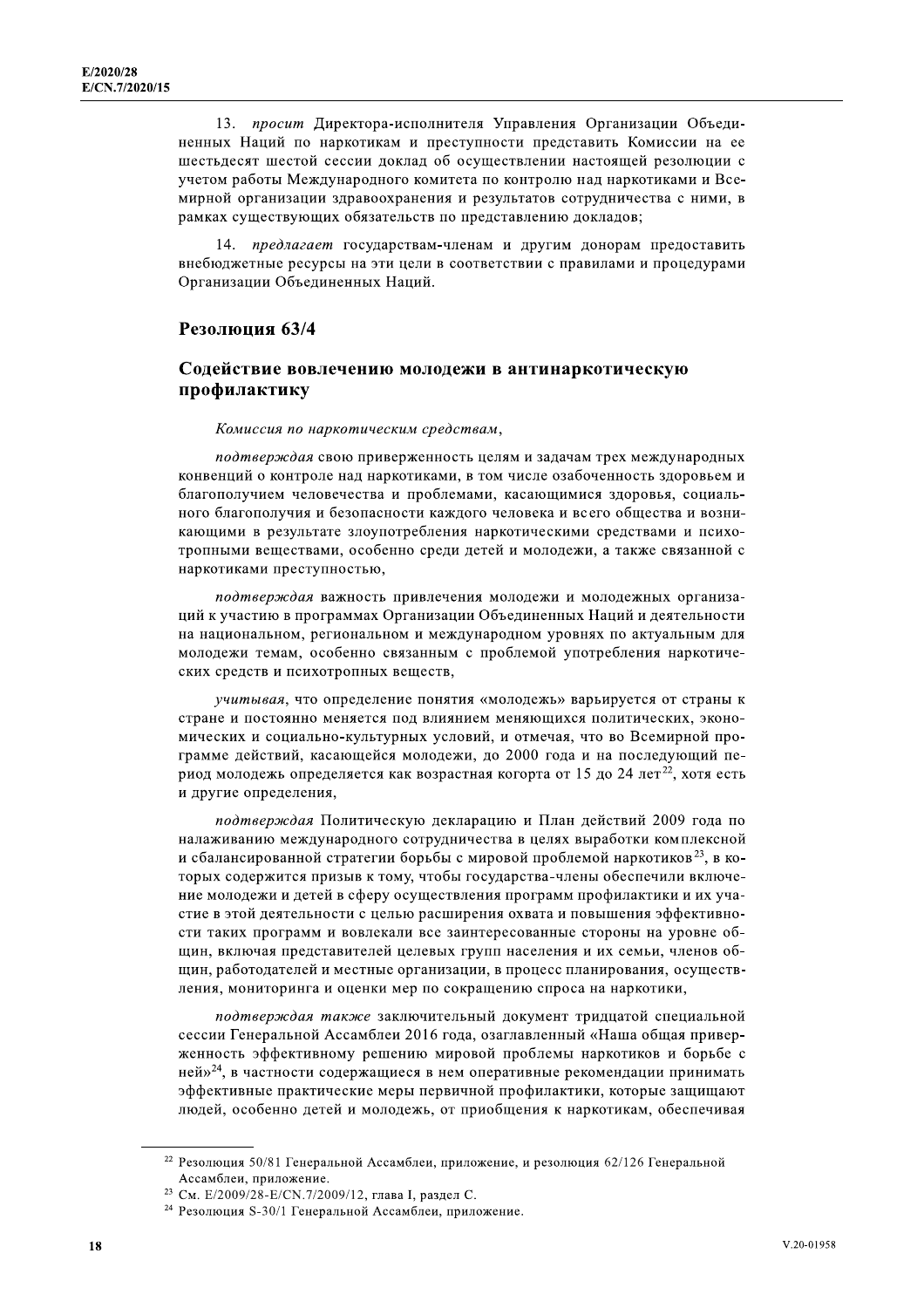13. просит Директора-исполнителя Управления Организации Объединенных Наций по наркотикам и преступности представить Комиссии на ее шестьдесят шестой сессии доклад об осуществлении настоящей резолюции с учетом работы Международного комитета по контролю над наркотиками и Всемирной организации здравоохранения и результатов сотрудничества с ними, в рамках существующих обязательств по представлению докладов;

 $14$ предлагает государствам-членам и другим донорам предоставить внебюджетные ресурсы на эти цели в соответствии с правилами и процедурами Организации Объединенных Наций.

#### Резолюция 63/4

#### Содействие вовлечению молодежи в антинаркотическую профилактику

#### Комиссия по наркотическим средствам,

подтверждая свою приверженность целям и задачам трех международных конвенций о контроле над наркотиками, в том числе озабоченность здоровьем и благополучием человечества и проблемами, касающимися здоровья, социального благополучия и безопасности каждого человека и всего общества и возникающими в результате злоупотребления наркотическими средствами и психотропными веществами, особенно среди детей и молодежи, а также связанной с наркотиками преступностью,

подтверждая важность привлечения молодежи и молодежных организаций к участию в программах Организации Объединенных Наций и деятельности на национальном, региональном и международном уровнях по актуальным для молодежи темам, особенно связанным с проблемой употребления наркотических средств и психотропных веществ,

учитывая, что определение понятия «молодежь» варьируется от страны к стране и постоянно меняется под влиянием меняющихся политических, экономических и социально-культурных условий, и отмечая, что во Всемирной программе действий, касающейся молодежи, до 2000 года и на последующий период молодежь определяется как возрастная когорта от 15 до 24 лет<sup>22</sup>, хотя есть и другие определения,

подтверждая Политическую декларацию и План действий 2009 года по налаживанию международного сотрудничества в целях выработки комплексной и сбалансированной стратегии борьбы с мировой проблемой наркотиков<sup>23</sup>, в которых содержится призыв к тому, чтобы государства-члены обеспечили включение молодежи и детей в сферу осуществления программ профилактики и их участие в этой деятельности с целью расширения охвата и повышения эффективности таких программ и вовлекали все заинтересованные стороны на уровне обшин, включая представителей целевых групп населения и их семьи, членов общин, работодателей и местные организации, в процесс планирования, осуществления, мониторинга и оценки мер по сокращению спроса на наркотики,

подтверждая также заключительный локумент трилцатой специальной сессии Генеральной Ассамблеи 2016 года, озаглавленный «Наша общая приверженность эффективному решению мировой проблемы наркотиков и борьбе с ней»<sup>24</sup>, в частности содержащиеся в нем оперативные рекомендации принимать эффективные практические меры первичной профилактики, которые защищают людей, особенно детей и молодежь, от приобщения к наркотикам, обеспечивая

<sup>22</sup> Резолюция 50/81 Генеральной Ассамблеи, приложение, и резолюция 62/126 Генеральной Ассамблеи, приложение.

<sup>&</sup>lt;sup>23</sup> См. E/2009/28-E/CN.7/2009/12, глава I, раздел С.

<sup>&</sup>lt;sup>24</sup> Резолюция S-30/1 Генеральной Ассамблеи, приложение.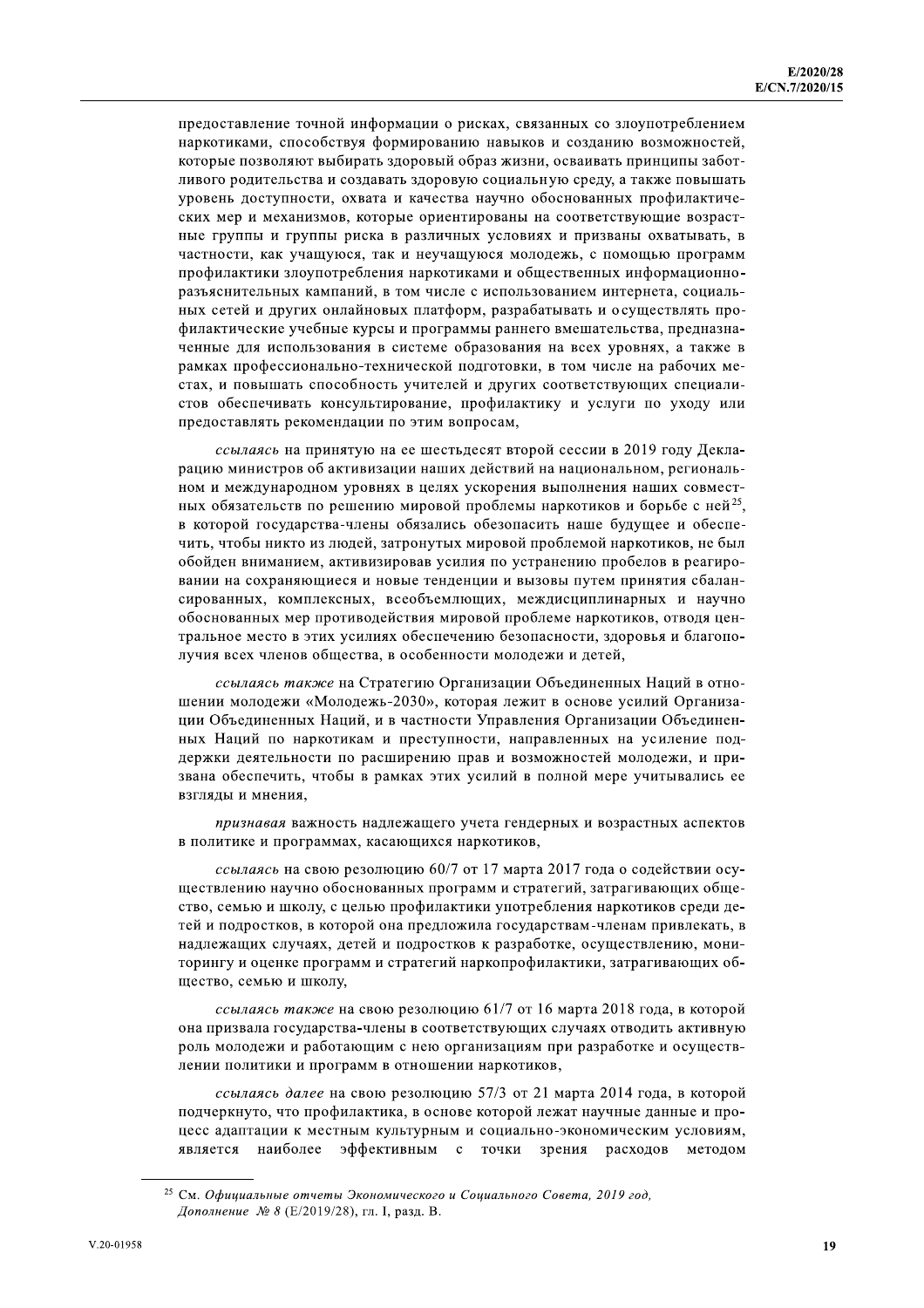предоставление точной информации о рисках, связанных со злоупотреблением наркотиками, способствуя формированию навыков и созданию возможностей, которые позволяют выбирать здоровый образ жизни, осваивать принципы заботливого родительства и создавать здоровую социальную среду, а также повышать уровень доступности, охвата и качества научно обоснованных профилактических мер и механизмов, которые ориентированы на соответствующие возрастные группы и группы риска в различных условиях и призваны охватывать, в частности, как учащуюся, так и неучащуюся молодежь, с помощью программ профилактики злоупотребления наркотиками и общественных информационноразъяснительных кампаний, в том числе с использованием интернета, социальных сетей и других онлайновых платформ, разрабатывать и осуществлять профилактические учебные курсы и программы раннего вмешательства, предназначенные для использования в системе образования на всех уровнях, а также в рамках профессионально-технической подготовки, в том числе на рабочих местах, и повышать способность учителей и других соответствующих специалистов обеспечивать консультирование, профилактику и услуги по уходу или предоставлять рекомендации по этим вопросам,

ссылаясь на принятую на ее шестьдесят второй сессии в 2019 году Декларацию министров об активизации наших действий на национальном, региональном и международном уровнях в целях ускорения выполнения наших совместных обязательств по решению мировой проблемы наркотиков и борьбе с ней<sup>25</sup>. в которой государства-члены обязались обезопасить наше будущее и обеспечить, чтобы никто из людей, затронутых мировой проблемой наркотиков, не был обойден вниманием, активизировав усилия по устранению пробелов в реагировании на сохраняющиеся и новые тенденции и вызовы путем принятия сбалансированных, комплексных, всеобъемлющих, междисциплинарных и научно обоснованных мер противодействия мировой проблеме наркотиков, отводя центральное место в этих усилиях обеспечению безопасности, здоровья и благополучия всех членов общества, в особенности молодежи и детей,

ссылаясь также на Стратегию Организации Объединенных Наций в отношении молодежи «Молодежь-2030», которая лежит в основе усилий Организации Объединенных Наций, и в частности Управления Организации Объединенных Наций по наркотикам и преступности, направленных на усиление поддержки деятельности по расширению прав и возможностей молодежи, и призвана обеспечить, чтобы в рамках этих усилий в полной мере учитывались ее взгляды и мнения.

признавая важность надлежащего учета гендерных и возрастных аспектов в политике и программах, касающихся наркотиков,

ссылаясь на свою резолюцию 60/7 от 17 марта 2017 года о содействии осуществлению научно обоснованных программ и стратегий, затрагивающих общество, семью и школу, с целью профилактики употребления наркотиков среди детей и подростков, в которой она предложила государствам-членам привлекать, в надлежащих случаях, детей и подростков к разработке, осуществлению, мониторингу и оценке программ и стратегий наркопрофилактики, затрагивающих общество, семью и школу,

ссылаясь также на свою резолюцию 61/7 от 16 марта 2018 года, в которой она призвала государства-члены в соответствующих случаях отводить активную роль молодежи и работающим с нею организациям при разработке и осуществлении политики и программ в отношении наркотиков,

ссылаясь далее на свою резолюцию 57/3 от 21 марта 2014 года, в которой подчеркнуто, что профилактика, в основе которой лежат научные данные и процесс адаптации к местным культурным и социально-экономическим условиям, является наиболее эффективным с точки зрения расходов методом

<sup>&</sup>lt;sup>25</sup> См. Официальные отчеты Экономического и Социального Совета, 2019 год, Дополнение № 8 (Е/2019/28), гл. I, разд. В.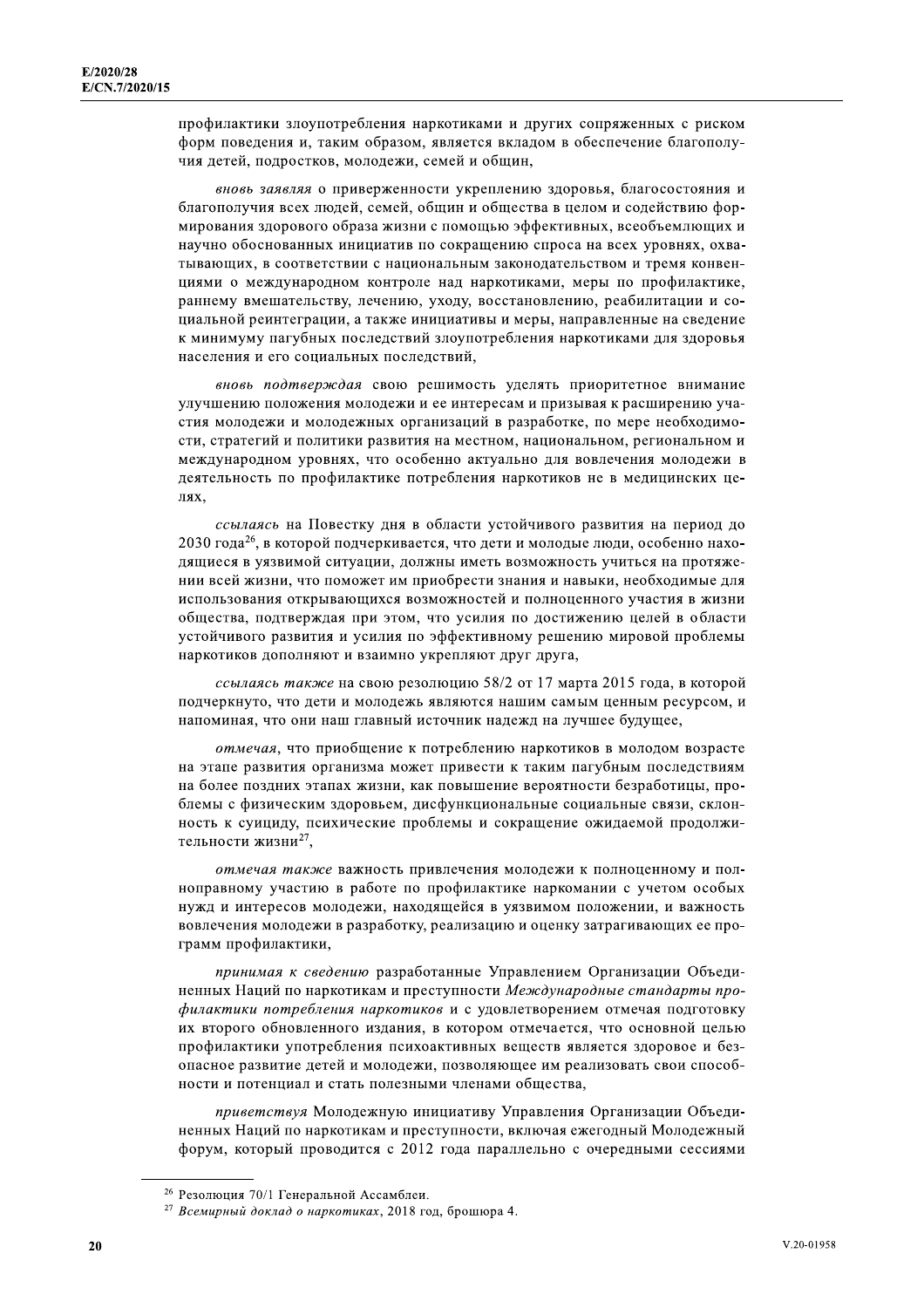профилактики злоупотребления наркотиками и других сопряженных с риском форм поведения и, таким образом, является вкладом в обеспечение благополучия детей, подростков, молодежи, семей и общин,

вновь заявляя о приверженности укреплению здоровья, благосостояния и благополучия всех людей, семей, общин и общества в целом и содействию формирования здорового образа жизни с помощью эффективных, всеобъемлющих и научно обоснованных инициатив по сокращению спроса на всех уровнях, охватывающих, в соответствии с национальным законодательством и тремя конвенциями о международном контроле над наркотиками, меры по профилактике, раннему вмешательству, лечению, уходу, восстановлению, реабилитации и социальной реинтеграции, а также инициативы и меры, направленные на сведение к минимуму пагубных последствий злоупотребления наркотиками для здоровья населения и его социальных последствий,

вновь подтверждая свою решимость уделять приоритетное внимание улучшению положения молодежи и ее интересам и призывая к расширению участия молодежи и молодежных организаций в разработке, по мере необходимости, стратегий и политики развития на местном, национальном, региональном и международном уровнях, что особенно актуально для вовлечения молодежи в деятельность по профилактике потребления наркотиков не в медицинских целях.

ссылаясь на Повестку дня в области устойчивого развития на период до 2030 года<sup>26</sup>, в которой подчеркивается, что дети и молодые люди, особенно находящиеся в уязвимой ситуации, должны иметь возможность учиться на протяжении всей жизни, что поможет им приобрести знания и навыки, необходимые для использования открывающихся возможностей и полноценного участия в жизни общества, подтверждая при этом, что усилия по достижению целей в области устойчивого развития и усилия по эффективному решению мировой проблемы наркотиков дополняют и взаимно укрепляют друг друга,

ссылаясь также на свою резолюцию 58/2 от 17 марта 2015 года, в которой подчеркнуто, что дети и молодежь являются нашим самым ценным ресурсом, и напоминая, что они наш главный источник надежд на лучшее будущее,

отмечая, что приобщение к потреблению наркотиков в молодом возрасте на этапе развития организма может привести к таким пагубным последствиям на более поздних этапах жизни, как повышение вероятности безработицы, проблемы с физическим здоровьем, дисфункциональные социальные связи, склонность к суициду, психические проблемы и сокращение ожидаемой продолжительности жизни<sup>27</sup>,

отмечая также важность привлечения молодежи к полноценному и полноправному участию в работе по профилактике наркомании с учетом особых нужд и интересов молодежи, находящейся в уязвимом положении, и важность вовлечения молодежи в разработку, реализацию и оценку затрагивающих ее программ профилактики,

принимая к сведению разработанные Управлением Организации Объединенных Наций по наркотикам и преступности Международные стандарты профилактики потребления наркотиков и с удовлетворением отмечая подготовку их второго обновленного издания, в котором отмечается, что основной целью профилактики употребления психоактивных веществ является здоровое и безопасное развитие детей и молодежи, позволяющее им реализовать свои способности и потенциал и стать полезными членами общества,

приветствуя Молодежную инициативу Управления Организации Объединенных Наций по наркотикам и преступности, включая ежегодный Молодежный форум, который проводится с 2012 года параллельно с очередными сессиями

<sup>26</sup> Резолюция 70/1 Генеральной Ассамблеи.

<sup>&</sup>lt;sup>27</sup> Всемирный доклад о наркотиках, 2018 год, брошюра 4.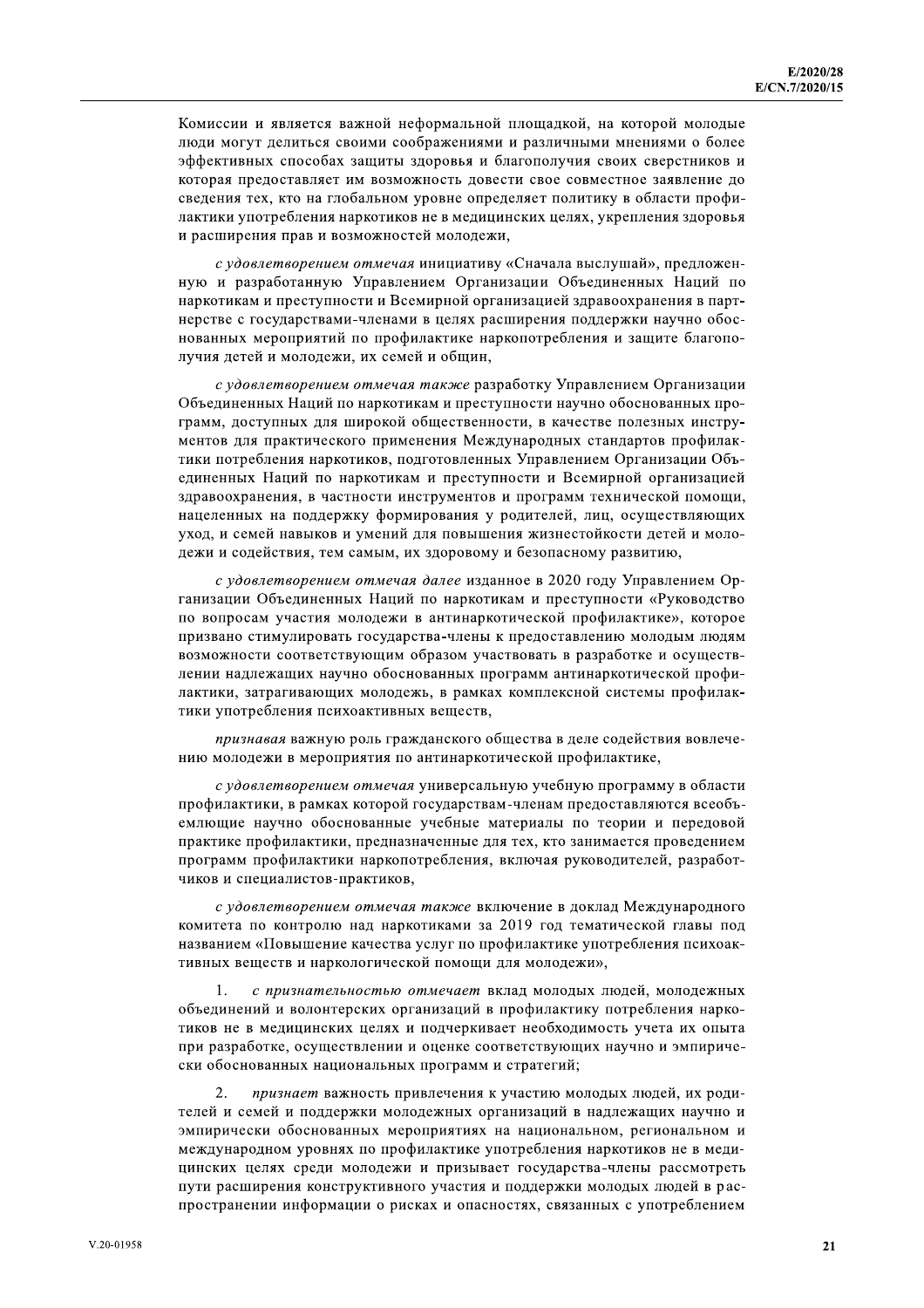Комиссии и является важной неформальной площадкой, на которой молодые люди могут делиться своими соображениями и различными мнениями о более эффективных способах защиты здоровья и благополучия своих сверстников и которая предоставляет им возможность довести свое совместное заявление до сведения тех, кто на глобальном уровне определяет политику в области профилактики употребления наркотиков не в медицинских целях, укрепления здоровья и расширения прав и возможностей молодежи,

с удовлетворением отмечая инициативу «Сначала выслушай», предложенную и разработанную Управлением Организации Объединенных Наций по наркотикам и преступности и Всемирной организацией здравоохранения в партнерстве с государствами-членами в целях расширения поддержки научно обоснованных мероприятий по профилактике наркопотребления и защите благополучия детей и молодежи, их семей и общин,

с удовлетворением отмечая также разработку Управлением Организации Объединенных Наций по наркотикам и преступности научно обоснованных программ, доступных для широкой общественности, в качестве полезных инструментов для практического применения Международных стандартов профилактики потребления наркотиков, подготовленных Управлением Организации Объединенных Наций по наркотикам и преступности и Всемирной организацией здравоохранения, в частности инструментов и программ технической помощи, нацеленных на поддержку формирования у родителей, лиц, осуществляющих уход, и семей навыков и умений для повышения жизнестойкости детей и молодежи и содействия, тем самым, их здоровому и безопасному развитию,

с удовлетворением отмечая далее изданное в 2020 году Управлением Организации Объединенных Наций по наркотикам и преступности «Руководство по вопросам участия молодежи в антинаркотической профилактике», которое призвано стимулировать государства-члены к предоставлению молодым людям возможности соответствующим образом участвовать в разработке и осуществлении надлежащих научно обоснованных программ антинаркотической профилактики, затрагивающих молодежь, в рамках комплексной системы профилактики употребления психоактивных веществ.

признавая важную роль гражданского общества в деле содействия вовлечению молодежи в мероприятия по антинаркотической профилактике,

с удовлетворением отмечая универсальную учебную программу в области профилактики, в рамках которой государствам-членам предоставляются всеобъемлющие научно обоснованные учебные материалы по теории и передовой практике профилактики, предназначенные для тех, кто занимается проведением программ профилактики наркопотребления, включая руководителей, разработчиков и специалистов-практиков,

с удовлетворением отмечая также включение в доклад Международного комитета по контролю над наркотиками за 2019 год тематической главы под названием «Повышение качества услуг по профилактике употребления психоактивных веществ и наркологической помощи для молодежи»,

 $\mathbf{1}$ . с признательностью отмечает вклад молодых людей, молодежных объединений и волонтерских организаций в профилактику потребления наркотиков не в медицинских целях и подчеркивает необходимость учета их опыта при разработке, осуществлении и оценке соответствующих научно и эмпирически обоснованных национальных программ и стратегий;

2. признает важность привлечения к участию молодых людей, их родителей и семей и поддержки молодежных организаций в надлежащих научно и эмпирически обоснованных мероприятиях на национальном, региональном и международном уровнях по профилактике употребления наркотиков не в медицинских целях среди молодежи и призывает государства-члены рассмотреть пути расширения конструктивного участия и поддержки молодых людей в распространении информации о рисках и опасностях, связанных с употреблением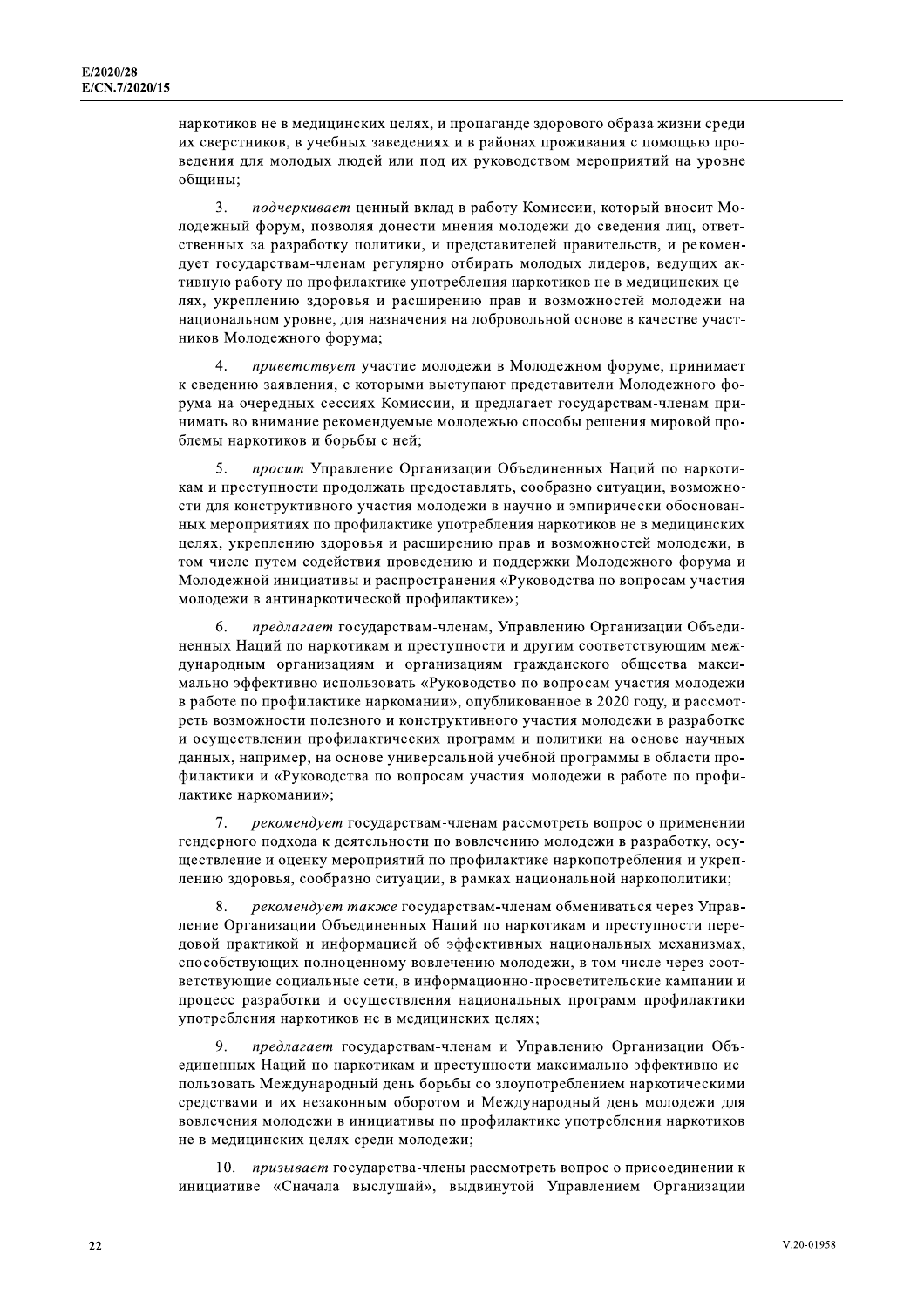наркотиков не в медицинских целях, и пропаганде здорового образа жизни среди их сверстников, в учебных заведениях и в районах проживания с помощью проведения для молодых людей или под их руководством мероприятий на уровне общины:

3. подчеркивает ценный вклад в работу Комиссии, который вносит Молодежный форум, позволяя донести мнения молодежи до сведения лиц, ответственных за разработку политики, и представителей правительств, и рекомендует государствам-членам регулярно отбирать молодых лидеров, ведущих активную работу по профилактике употребления наркотиков не в медицинских целях, укреплению здоровья и расширению прав и возможностей молодежи на национальном уровне, для назначения на добровольной основе в качестве участников Молодежного форума;

 $\mathcal{L}_{\mathcal{L}}$ приветствует участие молодежи в Молодежном форуме, принимает к сведению заявления, с которыми выступают представители Молодежного форума на очередных сессиях Комиссии, и предлагает государствам-членам принимать во внимание рекомендуемые молодежью способы решения мировой проблемы наркотиков и борьбы с ней:

5. просит Управление Организации Объединенных Наций по наркотикам и преступности продолжать предоставлять, сообразно ситуации, возможности для конструктивного участия молодежи в научно и эмпирически обоснованных мероприятиях по профилактике употребления наркотиков не в медицинских целях, укреплению здоровья и расширению прав и возможностей молодежи, в том числе путем содействия проведению и поддержки Молодежного форума и Молодежной инициативы и распространения «Руководства по вопросам участия молодежи в антинаркотической профилактике»;

предлагает государствам-членам, Управлению Организации Объеди-6. ненных Наций по наркотикам и преступности и другим соответствующим международным организациям и организациям гражданского общества максимально эффективно использовать «Руководство по вопросам участия молодежи в работе по профилактике наркомании», опубликованное в 2020 году, и рассмотреть возможности полезного и конструктивного участия молодежи в разработке и осуществлении профилактических программ и политики на основе научных данных, например, на основе универсальной учебной программы в области профилактики и «Руководства по вопросам участия молодежи в работе по профилактике наркомании»;

рекомендует государствам-членам рассмотреть вопрос о применении  $7<sub>1</sub>$ гендерного подхода к деятельности по вовлечению молодежи в разработку, осушествление и оценку мероприятий по профилактике наркопотребления и укреплению здоровья, сообразно ситуации, в рамках национальной наркополитики;

рекомендует также государствам-членам обмениваться через Управление Организации Объединенных Наций по наркотикам и преступности передовой практикой и информацией об эффективных национальных механизмах, способствующих полноценному вовлечению молодежи, в том числе через соответствующие социальные сети, в информационно-просветительские кампании и процесс разработки и осуществления национальных программ профилактики употребления наркотиков не в медицинских целях;

предлагает государствам-членам и Управлению Организации Объединенных Наций по наркотикам и преступности максимально эффективно использовать Международный день борьбы со злоупотреблением наркотическими средствами и их незаконным оборотом и Международный день молодежи для вовлечения молодежи в инициативы по профилактике употребления наркотиков не в медицинских целях среди молодежи;

10. призывает государства-члены рассмотреть вопрос о присоединении к инициативе «Сначала выслушай», выдвинутой Управлением Организации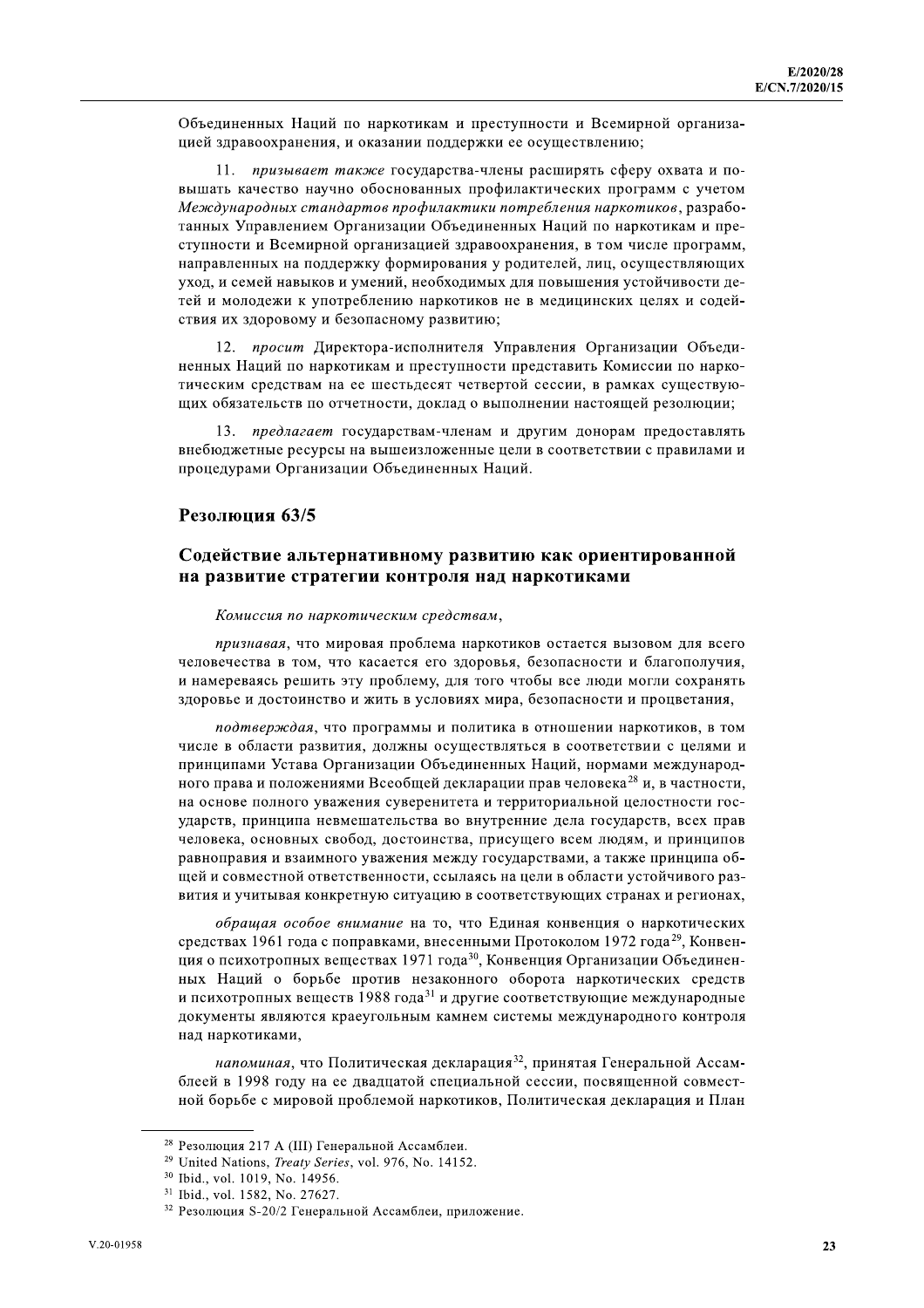Объединенных Наций по наркотикам и преступности и Всемирной организацией здравоохранения, и оказании поддержки ее осуществлению;

11. призывает также государства-члены расширять сферу охвата и повышать качество научно обоснованных профилактических программ с учетом Международных стандартов профилактики потребления наркотиков, разработанных Управлением Организации Объединенных Наций по наркотикам и преступности и Всемирной организацией здравоохранения, в том числе программ, направленных на поддержку формирования у родителей, лиц, осуществляющих уход, и семей навыков и умений, необходимых для повышения устойчивости детей и молодежи к употреблению наркотиков не в медицинских целях и содействия их здоровому и безопасному развитию;

12. просит Директора-исполнителя Управления Организации Объединенных Наций по наркотикам и преступности представить Комиссии по наркотическим средствам на ее шестьдесят четвертой сессии, в рамках существующих обязательств по отчетности, доклад о выполнении настоящей резолюции;

13. предлагает государствам-членам и другим донорам предоставлять внебюджетные ресурсы на вышеизложенные цели в соответствии с правилами и процедурами Организации Объединенных Наций.

#### Резолюция 63/5

#### Содействие альтернативному развитию как ориентированной на развитие стратегии контроля над наркотиками

#### Комиссия по наркотическим средствам,

признавая, что мировая проблема наркотиков остается вызовом для всего человечества в том, что касается его здоровья, безопасности и благополучия, и намереваясь решить эту проблему, для того чтобы все люди могли сохранять здоровье и достоинство и жить в условиях мира, безопасности и процветания,

подтверждая, что программы и политика в отношении наркотиков, в том числе в области развития, должны осуществляться в соответствии с целями и принципами Устава Организации Объединенных Наций, нормами международного права и положениями Всеобщей декларации прав человека<sup>28</sup> и, в частности, на основе полного уважения суверенитета и территориальной целостности государств, принципа невмешательства во внутренние дела государств, всех прав человека, основных свобод, достоинства, присущего всем людям, и принципов равноправия и взаимного уважения между государствами, а также принципа общей и совместной ответственности, ссылаясь на цели в области устойчивого развития и учитывая конкретную ситуацию в соответствующих странах и регионах,

обращая особое внимание на то, что Единая конвенция о наркотических средствах 1961 года с поправками, внесенными Протоколом 1972 года<sup>29</sup>, Конвенция о психотропных веществах 1971 года<sup>30</sup>, Конвенция Организации Объединенных Наций о борьбе против незаконного оборота наркотических средств и психотропных веществ 1988 года<sup>31</sup> и другие соответствующие международные документы являются краеугольным камнем системы международного контроля над наркотиками,

напоминая, что Политическая декларация<sup>32</sup>, принятая Генеральной Ассамблеей в 1998 году на ее двадцатой специальной сессии, посвященной совместной борьбе с мировой проблемой наркотиков, Политическая декларация и План

<sup>&</sup>lt;sup>28</sup> Резолюция 217 А (III) Генеральной Ассамблеи.

<sup>&</sup>lt;sup>29</sup> United Nations, *Treaty Series*, vol. 976, No. 14152.

<sup>&</sup>lt;sup>30</sup> Ibid., vol. 1019, No. 14956.

<sup>&</sup>lt;sup>31</sup> Ibid., vol. 1582, No. 27627.

<sup>&</sup>lt;sup>32</sup> Резолюция S-20/2 Генеральной Ассамблеи, приложение.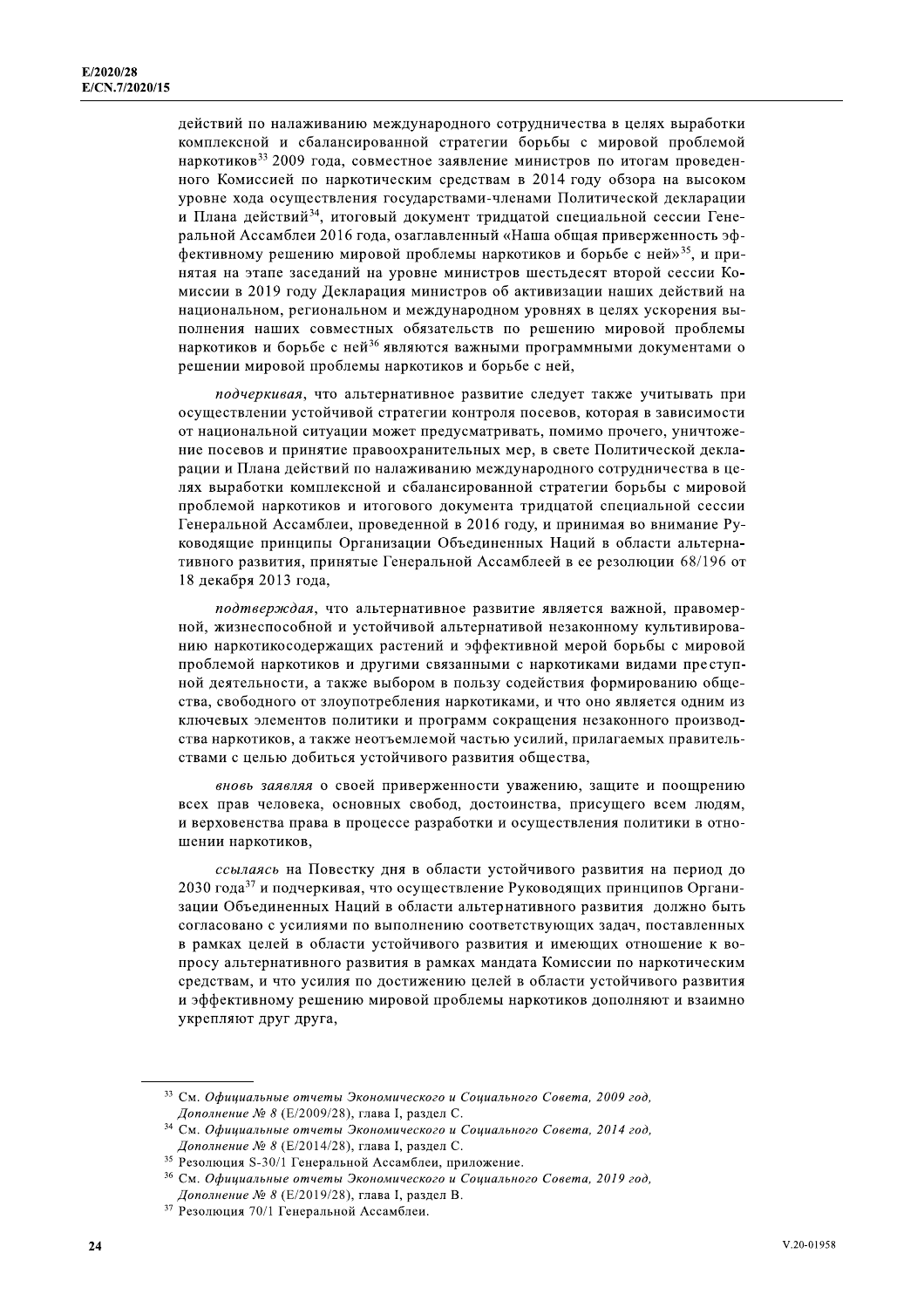действий по налаживанию международного сотрудничества в целях выработки комплексной и сбалансированной стратегии борьбы с мировой проблемой наркотиков<sup>33</sup> 2009 года, совместное заявление министров по итогам проведенного Комиссией по наркотическим средствам в 2014 году обзора на высоком уровне хода осуществления государствами-членами Политической декларации и Плана действий<sup>34</sup>, итоговый документ тридцатой специальной сессии Генеральной Ассамблеи 2016 года, озаглавленный «Наша общая приверженность эффективному решению мировой проблемы наркотиков и борьбе с ней»<sup>35</sup>, и принятая на этапе заседаний на уровне министров шестьдесят второй сессии Комиссии в 2019 году Декларация министров об активизации наших действий на национальном, региональном и международном уровнях в целях ускорения выполнения наших совместных обязательств по решению мировой проблемы наркотиков и борьбе с ней<sup>36</sup> являются важными программными документами о решении мировой проблемы наркотиков и борьбе с ней,

подчеркивая, что альтернативное развитие следует также учитывать при осуществлении устойчивой стратегии контроля посевов, которая в зависимости от национальной ситуации может предусматривать, помимо прочего, уничтожение посевов и принятие правоохранительных мер, в свете Политической декларации и Плана действий по налаживанию международного сотрудничества в целях выработки комплексной и сбалансированной стратегии борьбы с мировой проблемой наркотиков и итогового документа тридцатой специальной сессии Генеральной Ассамблеи, проведенной в 2016 году, и принимая во внимание Руководящие принципы Организации Объединенных Наций в области альтернативного развития, принятые Генеральной Ассамблеей в ее резолюции 68/196 от 18 декабря 2013 года.

подтверждая, что альтернативное развитие является важной, правомерной, жизнеспособной и устойчивой альтернативой незаконному культивированию наркотикосодержащих растений и эффективной мерой борьбы с мировой проблемой наркотиков и другими связанными с наркотиками видами преступной деятельности, а также выбором в пользу содействия формированию общества, свободного от злоупотребления наркотиками, и что оно является одним из ключевых элементов политики и программ сокращения незаконного производства наркотиков, а также неотъемлемой частью усилий, прилагаемых правительствами с целью добиться устойчивого развития общества,

вновь заявляя о своей приверженности уважению, защите и поощрению всех прав человека, основных свобод, достоинства, присущего всем людям, и верховенства права в процессе разработки и осуществления политики в отношении наркотиков,

ссылаясь на Повестку дня в области устойчивого развития на период до 2030 года<sup>37</sup> и подчеркивая, что осуществление Руководящих принципов Организации Объединенных Наций в области альтернативного развития должно быть согласовано с усилиями по выполнению соответствующих задач, поставленных в рамках целей в области устойчивого развития и имеющих отношение к вопросу альтернативного развития в рамках мандата Комиссии по наркотическим средствам, и что усилия по достижению целей в области устойчивого развития и эффективному решению мировой проблемы наркотиков дополняют и взаимно укрепляют друг друга,

<sup>33</sup> См. Официальные отчеты Экономического и Социального Совета, 2009 год, Дополнение № 8 (Е/2009/28), глава I, раздел С.

<sup>&</sup>lt;sup>34</sup> См. Официальные отчеты Экономического и Социального Совета, 2014 год, Дополнение № 8 (Е/2014/28), глава I, раздел С.

<sup>&</sup>lt;sup>35</sup> Резолюция S-30/1 Генеральной Ассамблеи, приложение.

<sup>&</sup>lt;sup>36</sup> См. Официальные отчеты Экономического и Социального Совета, 2019 год, Дополнение № 8 (Е/2019/28), глава I, раздел В.

<sup>37</sup> Резолюция 70/1 Генеральной Ассамблеи.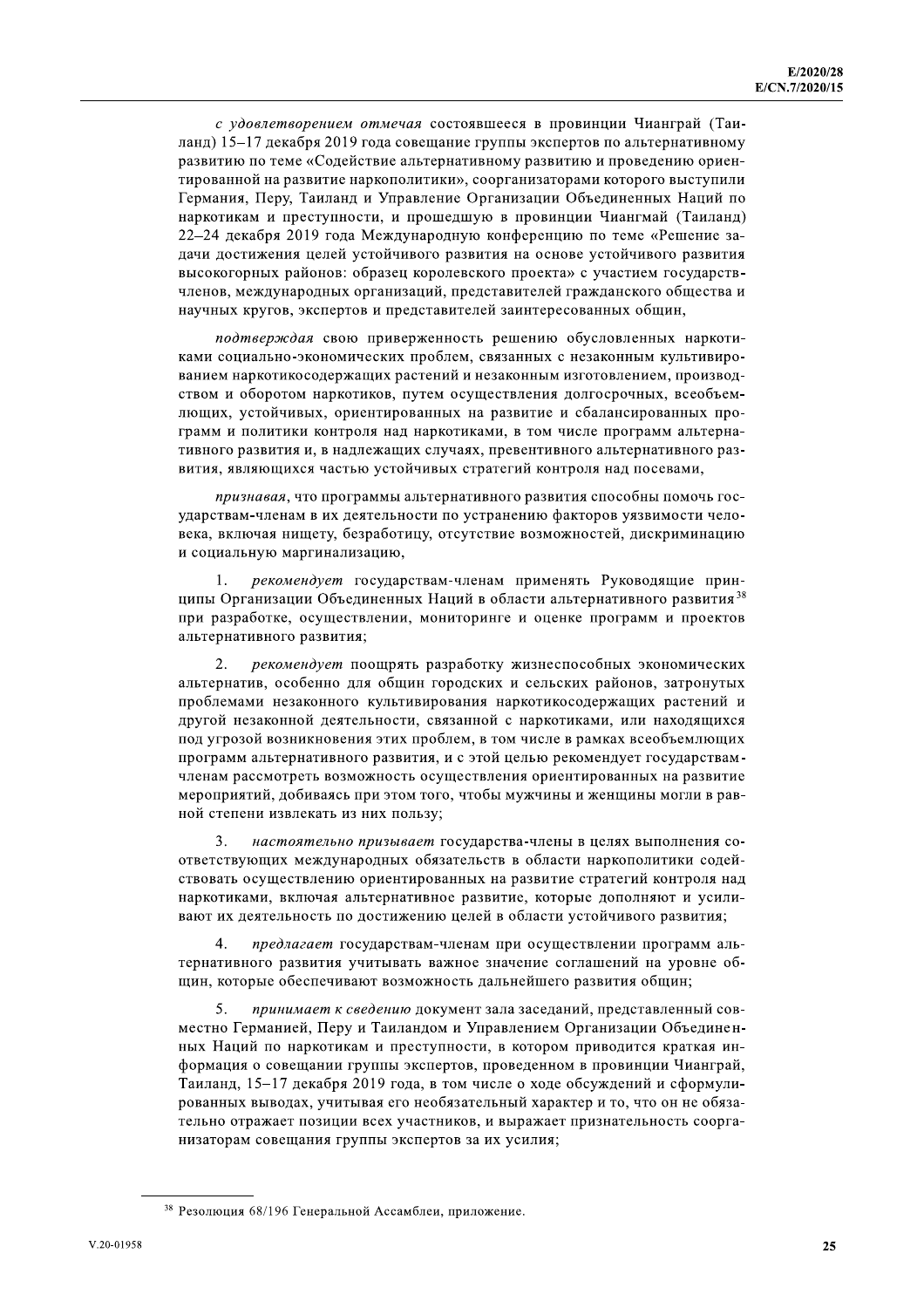с доба измерение ожиемога состоянного и провинны Чиничтай (Ган-<br>2002) -1-7 собере 2010 реал состоянного уритменного ранератив состоянного ранеративного ранеративного ранеративного ранеративного ранеративного ранеративног

или, анконолись челоне разметного перитического конторного перитического перитического перитического перитического перитического перитического перитического перитического перитического перитического перитического перитич

÷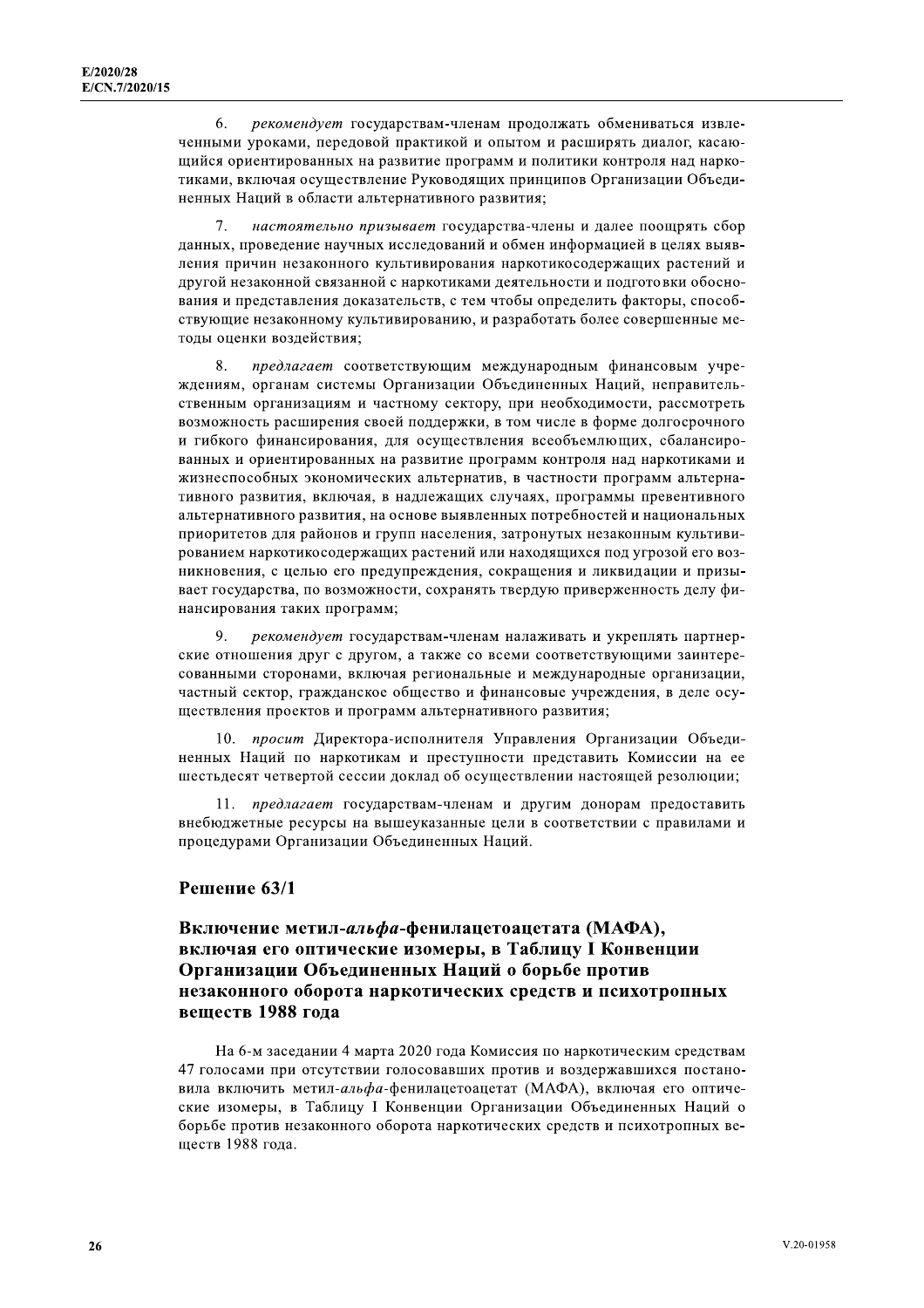рекомендует государствам-членам продолжать обмениваться извле-6. ченными уроками, передовой практикой и опытом и расширять диалог, касающийся ориентированных на развитие программ и политики контроля над наркотиками, включая осуществление Руководящих принципов Организации Объединенных Наций в области альтернативного развития;

7. настоятельно призывает государства-члены и далее поощрять сбор данных, проведение научных исследований и обмен информацией в целях выявления причин незаконного культивирования наркотикосодержащих растений и другой незаконной связанной с наркотиками деятельности и подготовки обоснования и представления доказательств, с тем чтобы определить факторы, способствующие незаконному культивированию, и разработать более совершенные методы оценки воздействия;

8. предлагает соответствующим международным финансовым учреждениям, органам системы Организации Объединенных Наций, неправительственным организациям и частному сектору, при необходимости, рассмотреть возможность расширения своей поддержки, в том числе в форме долгосрочного и гибкого финансирования, для осуществления всеобъемлющих, сбалансированных и ориентированных на развитие программ контроля над наркотиками и жизнеспособных экономических альтернатив, в частности программ альтернативного развития, включая, в надлежащих случаях, программы превентивного альтернативного развития, на основе выявленных потребностей и национальных приоритетов для районов и групп населения, затронутых незаконным культивированием наркотикосодержащих растений или находящихся под угрозой его возникновения, с целью его предупреждения, сокращения и ликвидации и призывает государства, по возможности, сохранять твердую приверженность делу финансирования таких программ;

9. рекомендует государствам-членам налаживать и укреплять партнерские отношения друг с другом, а также со всеми соответствующими заинтересованными сторонами, включая региональные и международные организации, частный сектор, гражданское общество и финансовые учреждения, в деле осушествления проектов и программ альтернативного развития;

10. просит Директора-исполнителя Управления Организации Объединенных Наций по наркотикам и преступности представить Комиссии на ее шестьдесят четвертой сессии доклад об осуществлении настоящей резолюции;

11. предлагает государствам-членам и другим донорам предоставить внебюджетные ресурсы на вышеуказанные цели в соответствии с правилами и процедурами Организации Объединенных Наций.

#### Решение 63/1

# Включение метил-альфа-фенилацетоацетата (МАФА). включая его оптические изомеры, в Таблицу I Конвенции Организации Объединенных Наций о борьбе против незаконного оборота наркотических средств и психотропных вешеств 1988 года

На 6-м заседании 4 марта 2020 года Комиссия по наркотическим средствам 47 голосами при отсутствии голосовавших против и воздержавшихся постановила включить метил-альфа-фенилацетоацетат (МАФА), включая его оптические изомеры, в Таблицу I Конвенции Организации Объединенных Наций о борьбе против незаконного оборота наркотических средств и психотропных вешеств 1988 года.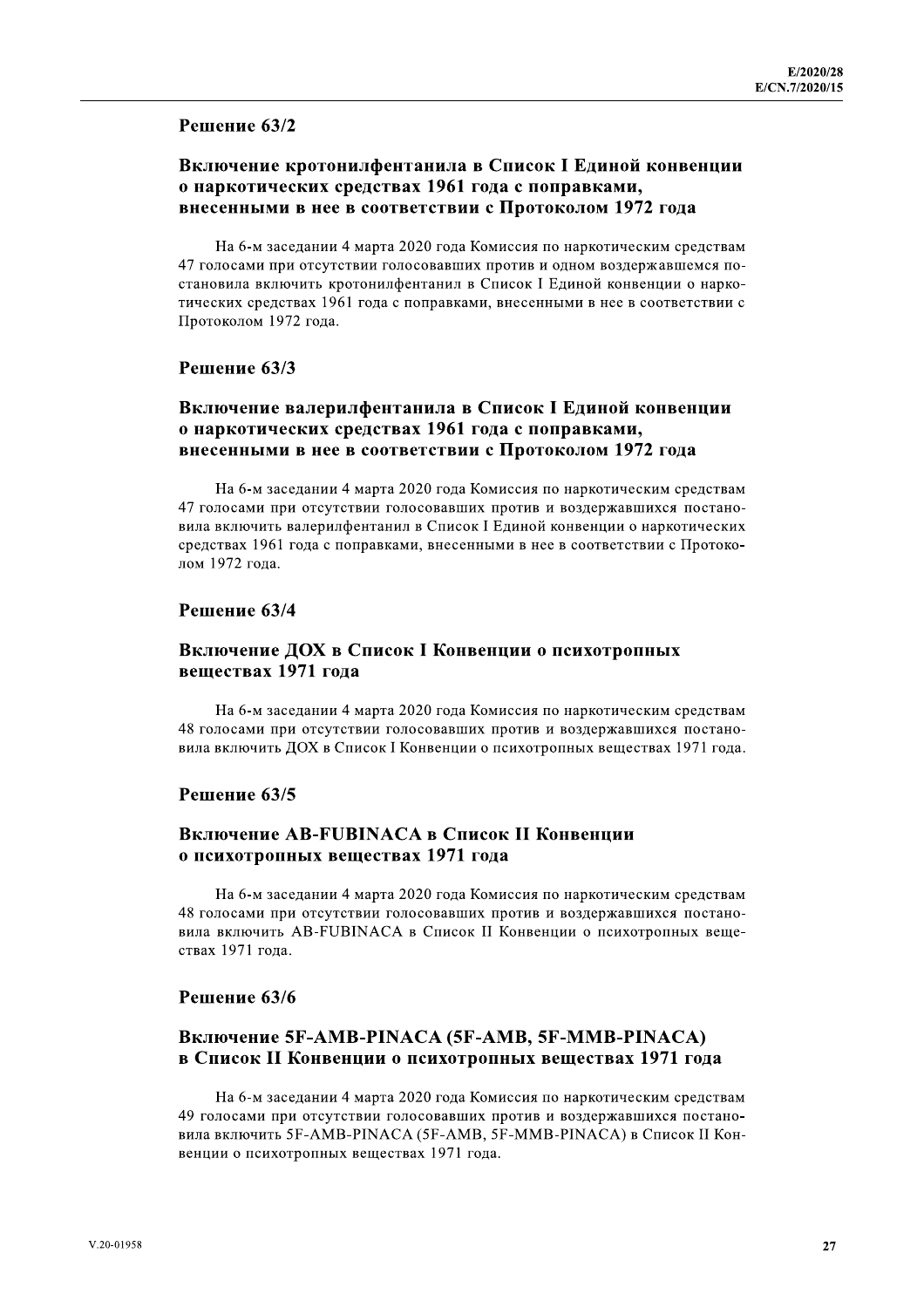#### Решение 63/2

# Включение кротонилфентанила в Список I Единой конвенции о наркотических средствах 1961 года с поправками, внесенными в нее в соответствии с Протоколом 1972 года

На 6-м заседании 4 марта 2020 года Комиссия по наркотическим средствам 47 голосами при отсутствии голосовавших против и одном воздержавшемся постановила включить кротонилфентанил в Список I Единой конвенции о наркотических средствах 1961 года с поправками, внесенными в нее в соответствии с Протоколом 1972 года.

#### Решение 63/3

# Включение валерилфентанила в Список I Единой конвенции о наркотических средствах 1961 года с поправками, внесенными в нее в соответствии с Протоколом 1972 года

На 6-м заседании 4 марта 2020 года Комиссия по наркотическим средствам 47 голосами при отсутствии голосовавших против и воздержавшихся постановила включить валерилфентанил в Список I Единой конвенции о наркотических средствах 1961 года с поправками, внесенными в нее в соответствии с Протоколом 1972 года.

#### Решение 63/4

#### Включение ДОХ в Список I Конвенции о психотропных веществах 1971 года

На 6-м заседании 4 марта 2020 года Комиссия по наркотическим средствам 48 голосами при отсутствии голосовавших против и воздержавшихся постановила включить ДОХ в Список I Конвенции о психотропных веществах 1971 года.

#### Решение 63/5

# Включение AB-FUBINACA в Список II Конвенции о психотропных веществах 1971 года

На 6-м заседании 4 марта 2020 года Комиссия по наркотическим средствам 48 голосами при отсутствии голосовавших против и воздержавшихся постановила включить AB-FUBINACA в Список II Конвенции о психотропных веществах 1971 гола.

#### Решение 63/6

# Включение 5F-AMB-PINACA (5F-AMB, 5F-MMB-PINACA) в Список II Конвенции о психотропных веществах 1971 года

На 6-м заседании 4 марта 2020 года Комиссия по наркотическим средствам 49 голосами при отсутствии голосовавших против и воздержавшихся постановила включить 5F-AMB-PINACA (5F-AMB, 5F-MMB-PINACA) в Список II Конвенции о психотропных веществах 1971 года.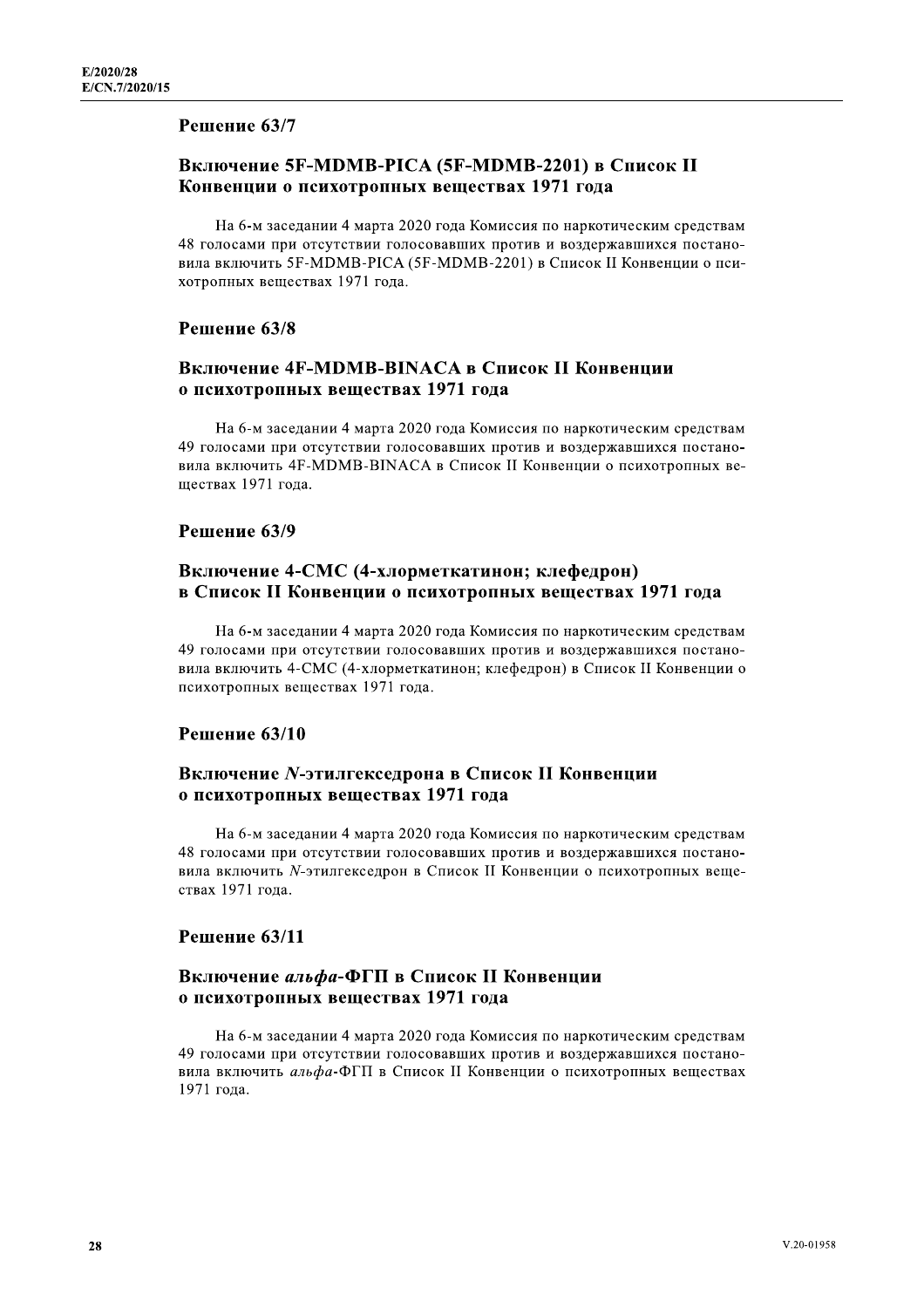#### Решение 63/7

# Конвенции о психотропных веществах 1971 года

E/2020/28<br>
Е/СК.7/2020/15<br>
Решение 63/7<br>
Включение 5F-MDMB-PICA (5F-MDMB-2201) в Список II<br>
Конвенции о психотропных веществах 1971 года<br>
На 6-м заседании 4 марта 2020 года Комиссия по наркотическим средств<br>
48 голосами На 6-м заседании 4 марта 2020 года Комиссия по наркотическим средствам 48 голосами при отсутствии голосовавших против и воздержавшихся постановила включить 5F-MDMB-PICA (5F-MDMB-2201) в Список II Конвенции о психотропных веществах 1971 года. На 6-м заседании 4 марта 2020 года Комиссия по наркотическим срав и вила включить 5F-MDMB-PICA (5F-MDMB-2201) в Список II Конвенции хотропных веществах 1971 года.<br> **Решение 63/8**<br> **Включение 4F-MDMB-PINACA в Список II Ко** 

#### Решение 63/8

На 6-м заседании 4 марта 2020 года Комиссия по наркотическим средствам 49 голосами при отсутствии голосовавших против и воздержавшихся постановила включить 4F-MDMB-BINACA в Список II Конвенции о психотропных веществах 1971 года. 9 исихотронных веществах 1971 года<br>
49 голосами при отсутствии голосовавших против и воздержавшихся поетано-<br>
вила включить 4F-MDMB-BINACA в Список II Конвенции о психотропных ве<br>
ществах 1971 года.<br> **Решение 63/9**<br>
Вклю

#### Решение 63/9

На 6-м заседании 4 марта 2020 года Комиссия по наркотическим средствам 49 голосами при отсутствии голосовавших против и воздержавшихся постановила включить 4-СМС (4-хлорметкатинон; клефедрон) в Список II Конвенции о психотропных веществах 1971 года. В СИРСОК И КОНБЕНЦИИ О ИСИЛОГРОШНЫХ ВСЦССТВАХ 1991<br>
На 6-м заседании 4 марта 2020 года Комиссия по наркотическим<br>
49 голосами при отсутствии голосовавших против и воздержавшихся<br>
вида включение 63/10<br> **Решение 63/10**<br> **В** 

#### Решение 63/10

На 6-м заседании 4 марта 2020 года Комиссия по наркотическим средствам 48 голосами при отсутствии голосовавших против и воздержавшихся постановила включить N-этилгекседрон в Список II Конвенции о психотропных веществах 1971 года.  $\sigma$  Неимогронных веществах 1971 года<br>
На 6-м заседании 4 марта 2020 года Комиссия по наркоти<br>
48 голосами при отсутствии голосовавших против и воздерже<br>
вила включить N-этилгекседрон в Список II Конвенции о пси<br>
ствах 1

#### Решение 63/11

На 6-м заседании 4 марта 2020 года Комиссия по наркотическим средствам 49 голосами при отсутствии голосовавших против и воздержавшихся постановила включить альфа-ФГП в Список II Конвенции о психотропных веществах 1971 года.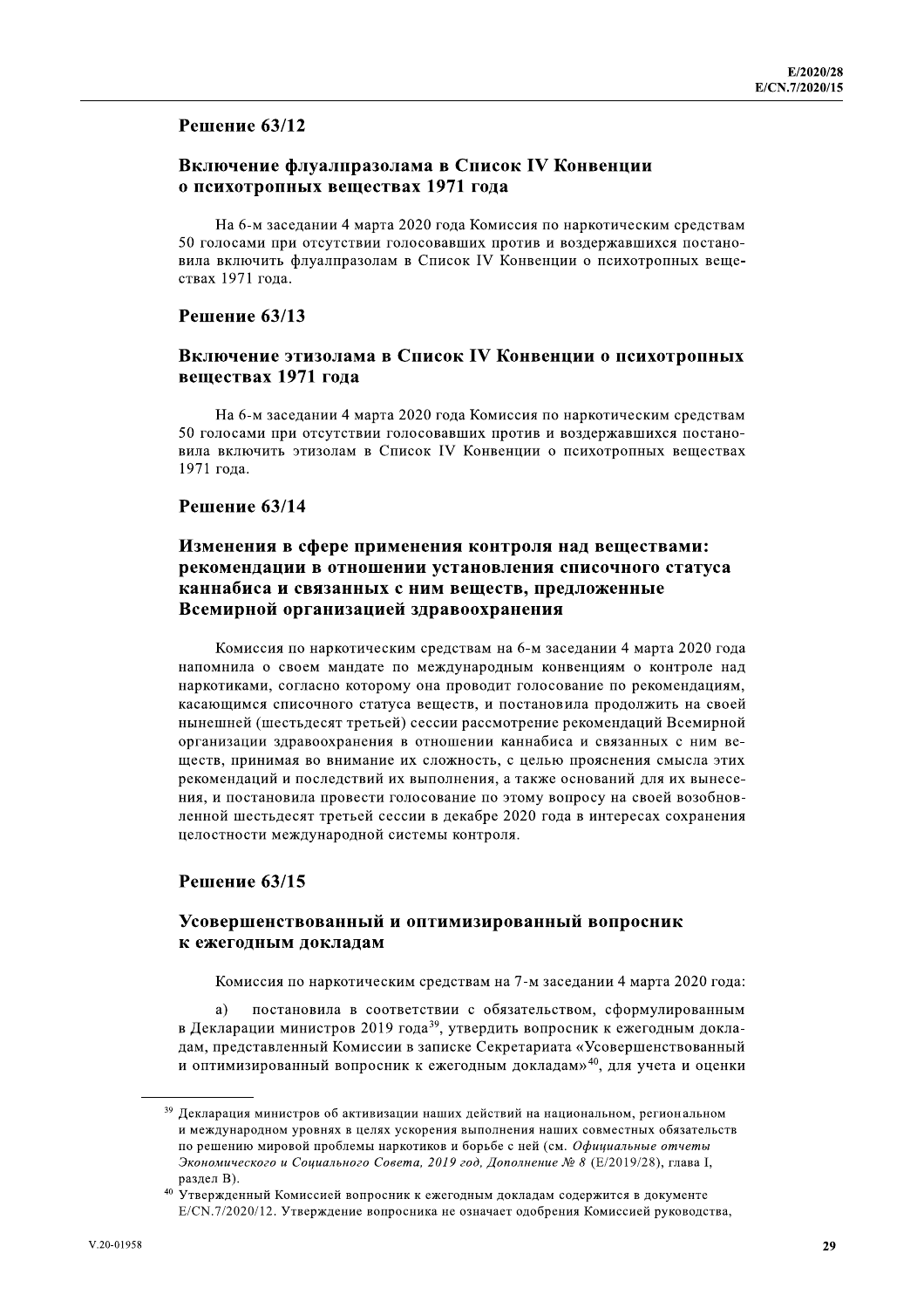# Решение 63/12

## Включение флуалпразолама в Список IV Конвенции о психотропных веществах 1971 года

На 6-м заседании 4 марта 2020 года Комиссия по наркотическим средствам 50 голосами при отсутствии голосовавших против и воздержавшихся постановила включить флуалпразолам в Список IV Конвенции о психотропных веществах 1971 года.

#### Решение 63/13

#### Включение этизолама в Список IV Конвенции о психотропных веществах 1971 года

На 6-м заседании 4 марта 2020 года Комиссия по наркотическим средствам 50 голосами при отсутствии голосовавших против и воздержавшихся постановила включить этизолам в Список IV Конвенции о психотропных веществах 1971 года.

#### Решение 63/14

# Изменения в сфере применения контроля над веществами: рекомендации в отношении установления списочного статуса каннабиса и связанных с ним вешеств, предложенные Всемирной организацией здравоохранения

Комиссия по наркотическим средствам на 6-м заседании 4 марта 2020 года напомнила о своем мандате по международным конвенциям о контроле над наркотиками, согласно которому она проводит голосование по рекомендациям, касающимся списочного статуса веществ, и постановила продолжить на своей нынешней (шестьдесят третьей) сессии рассмотрение рекомендаций Всемирной организации здравоохранения в отношении каннабиса и связанных с ним веществ, принимая во внимание их сложность, с целью прояснения смысла этих рекомендаций и последствий их выполнения, а также оснований для их вынесения, и постановила провести голосование по этому вопросу на своей возобновленной шестьдесят третьей сессии в декабре 2020 года в интересах сохранения целостности международной системы контроля.

#### Решение 63/15

#### Усовершенствованный и оптимизированный вопросник к ежегодным докладам

Комиссия по наркотическим средствам на 7-м заседании 4 марта 2020 года:

постановила в соответствии с обязательством, сформулированным a) в Декларации министров 2019 года<sup>39</sup>, утвердить вопросник к ежегодным докладам, представленный Комиссии в записке Секретариата «Усовершенствованный и оптимизированный вопросник к ежегодным докладам»<sup>40</sup>, для учета и оценки

<sup>&</sup>lt;sup>39</sup> Декларация министров об активизации наших действий на национальном, региональном и международном уровнях в целях ускорения выполнения наших совместных обязательств по решению мировой проблемы наркотиков и борьбе с ней (см. Официальные отчеты Экономического и Социального Совета, 2019 год, Дополнение № 8 (Е/2019/28), глава I, раздел В).

<sup>40</sup> Утвержденный Комиссией вопросник к ежегодным докладам содержится в документе E/CN.7/2020/12. Утверждение вопросника не означает одобрения Комиссией руководства,